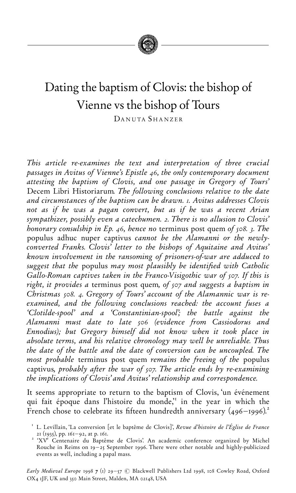

# Dating the baptism of Clovis: the bishop of Vienne vs the bishop of Tours

DANUTA SHANZER

This article re-examines the text and interpretation of three crucial passages in Avitus of Vienne's Epistle 46, the only contemporary document attesting the baptism of Clovis, and one passage in Gregory of Tours' Decem Libri Historiarum. The following conclusions relative to the date and circumstances of the baptism can be drawn. I. Avitus addresses Clovis not as if he was a pagan convert, but as if he was a recent Arian sympathizer, possibly even a catechumen. 2. There is no allusion to Clovis' honorary consulship in Ep. 46, hence no terminus post quem of  $108$ . 3. The populus adhuc nuper captivus cannot be the Alamanni or the newlyconverted Franks. Clovis' letter to the bishops of Aquitaine and Avitus' known involvement in the ransoming of prisoners-of-war are adduced to suggest that the populus may most plausibly be identified with Catholic Gallo-Roman captives taken in the Franco-Visigothic war of 507. If this is right, it provides a terminus post quem, of sor and suggests a baptism in Christmas 508. 4. Gregory of Tours' account of the Alamannic war is reexamined, and the following conclusions reached: the account fuses a `Clotilde-spool' and a `Constantinian-spool'; the battle against the Alamanni must date to late 506 (evidence from Cassiodorus and Ennodius); but Gregory himself did not know when it took place in absolute terms, and his relative chronology may well be unreliable. Thus the date of the battle and the date of conversion can be uncoupled. The most probable terminus post quem remains the freeing of the populus captivus, probably after the war of soz. The article ends by re-examining the implications of Clovis' and Avitus' relationship and correspondence.

It seems appropriate to return to the baptism of Clovis, 'un événement qui fait époque dans l'histoire du monde," in the year in which the French chose to celebrate its fifteen hundredth anniversary  $(496 - 1996)^2$ .

<sup>&</sup>lt;sup>1</sup> L. Levillain, 'La conversion [et le baptême de Clovis]', *Revue d'histoire de l'Église de France*<br>21 (1935), pp. 161–92, at p. 161.

<sup>&</sup>lt;sup>2</sup> 'XV<sup>e</sup> Centenaire du Baptême de Clovis'. An academic conference organized by Michel Rouche in Reims on  $19 - 25$  September 1996. There were other notable and highly-publicized events as well, including a papal mass.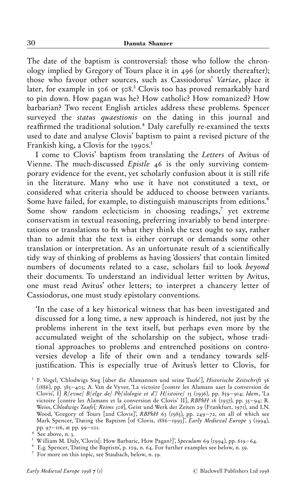The date of the baptism is controversial: those who follow the chronology implied by Gregory of Tours place it in  $496$  (or shortly thereafter); those who favour other sources, such as Cassiodorus' Variae, place it later, for example in 506 or  $508$ <sup>3</sup> Clovis too has proved remarkably hard to pin down. How pagan was he? How catholic? How romanized? How barbarian? Two recent English articles address these problems. Spencer surveyed the *status quaestionis* on the dating in this journal and reaffirmed the traditional solution.<sup>4</sup> Daly carefully re-examined the texts used to date and analyse Clovis' baptism to paint a revised picture of the Frankish king, a Clovis for the 1990s.<sup>5</sup>

I come to Clovis' baptism from translating the Letters of Avitus of Vienne. The much-discussed Epistle 46 is the only surviving contemporary evidence for the event, yet scholarly confusion about it is still rife in the literature. Many who use it have not constituted a text, or considered what criteria should be adduced to choose between variants. Some have failed, for example, to distinguish manuscripts from editions.<sup>6</sup> Some show random eclecticism in choosing readings,<sup>7</sup> yet extreme conservatism in textual reasoning, preferring invariably to bend interpretations or translations to fit what they think the text ought to say, rather than to admit that the text is either corrupt or demands some other translation or interpretation. As an unfortunate result of a scientifically tidy way of thinking of problems as having `dossiers' that contain limited numbers of documents related to a case, scholars fail to look beyond their documents. To understand an individual letter written by Avitus, one must read Avitus' other letters; to interpret a chancery letter of Cassiodorus, one must study epistolary conventions.

`In the case of a key historical witness that has been investigated and discussed for a long time, a new approach is hindered, not just by the problems inherent in the text itself, but perhaps even more by the accumulated weight of the scholarship on the subject, whose traditional approaches to problems and entrenched positions on controversies develop a life of their own and a tendancy towards selfjustification. This is especially true of Avitus's letter to Clovis, for

<sup>&</sup>lt;sup>3</sup> F. Vogel, 'Chlodwigs Sieg [über die Alamannen und seine Taufe'], Historische Zeitschrift 56 ( $1886$ ), pp.  $385 - 403$ ; A. Van de Vyver, 'La victoire [contre les Alamans aaet la conversion de Clovis', I] R[evue] B[elge de] Ph[ilologie et d'] H[istoire] 15 (1936), pp. 859–914; Idem, `La victoire [contre les Alamans et la conversion de Clovis' II], *RBPhH* 16 (1937), pp. 35–94; R. Weiss, Chlodwigs Taufe[: Reims 508], Geist und Werk der Zeiten 29 (Frankfurt, 1971), and I.N. Wood, 'Gregory of Tours [and Clovis]', *RBPhH 6*3 (1985), pp. 249–72, on all of which see Mark Spencer, 'Dating the Baptism [of Clovis, 1886–1993]', *Early Medieval Europe* 3 (1994), pp. 97–116, at pp. 99–101.<br>
<sup>4</sup> See above, n. 3.<br>
<sup>5</sup> William M. Daly, Clovis[: How Barbaric, How Pagan?]', *Speculum 69* (1994), pp. 619–64.<br>
<sup>6</sup> E.g. Spencer, Dating the Baptism', p. 109, n. 64. For further examples see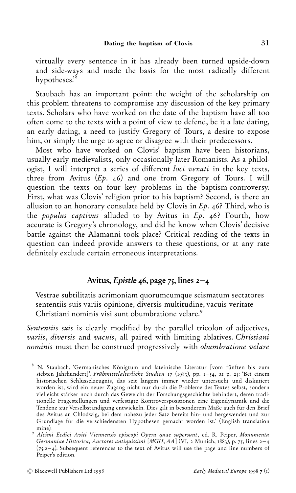virtually every sentence in it has already been turned upside-down and side-ways and made the basis for the most radically different hypotheses.'<sup>ð</sup>

Staubach has an important point: the weight of the scholarship on this problem threatens to compromise any discussion of the key primary texts. Scholars who have worked on the date of the baptism have all too often come to the texts with a point of view to defend, be it a late dating, an early dating, a need to justify Gregory of Tours, a desire to expose him, or simply the urge to agree or disagree with their predecessors.

Most who have worked on Clovis' baptism have been historians, usually early medievalists, only occasionally later Romanists. As a philologist, I will interpret a series of different loci vexati in the key texts, three from Avitus  $(Ep. 46)$  and one from Gregory of Tours. I will question the texts on four key problems in the baptism-controversy. First, what was Clovis' religion prior to his baptism? Second, is there an allusion to an honorary consulate held by Clovis in  $Ep.$  46? Third, who is the populus captivus alluded to by Avitus in  $Ep.$  46? Fourth, how accurate is Gregory's chronology, and did he know when Clovis' decisive battle against the Alamanni took place? Critical reading of the texts in question can indeed provide answers to these questions, or at any rate definitely exclude certain erroneous interpretations.

## Avitus, Epistle 46, page 75, lines  $2-4$

Vestrae subtilitatis acrimoniam quorumcumque scismatum sectatores sententiis suis variis opinione, diversis multitudine, vacuis veritate Christiani nominis visi sunt obumbratione velare.<sup>9</sup>

Sententiis suis is clearly modified by the parallel tricolon of adjectives, variis, diversis and vacuis, all paired with limiting ablatives. Christiani nominis must then be construed progressively with obumbratione velare

N. Staubach, 'Germanisches Königtum und lateinische Literatur [vom fünften bis zum siebten Jahrhundert]', Frühmittelalterliche Studien 17 (1983), pp.  $I = \{4, at p. 2\}$ : 'Bei einem historischen Schlüsselzeugnis, das seit langem immer wieder untersucht und diskutiert worden ist, wird ein neuer Zugang nicht nur durch die Probleme des Textes selbst, sondern vielleicht stärker noch durch das Geweicht der Forschungsgeschichte behindert, deren traditionelle Fragestellungen und verfestigte Kontroverspositionen eine Eigendynamik und die Tendenz zur Verselbständigung entwickeln. Dies gilt in besonderem Maße auch für den Brief des Avitus an Chlodwig, bei dem nahezu jeder Satz bereits hin- und hergewendet und zur Grundlage für die verschiedensten Hypothesen gemacht worden ist.' (English translation

mine).<br><sup>9</sup> Alcimi Ecdici Aviti Viennensis episcopi Opera quae supersunt, ed. R. Peiper, Monumenta Germaniae Historica, Auctores antiquissimi [MGH, AA] (VI, 2 Munich, 1883), p. 75, lines 2–4  $(75.2 - 4)$ . Subsequent references to the text of Avitus will use the page and line numbers of Peiper's edition.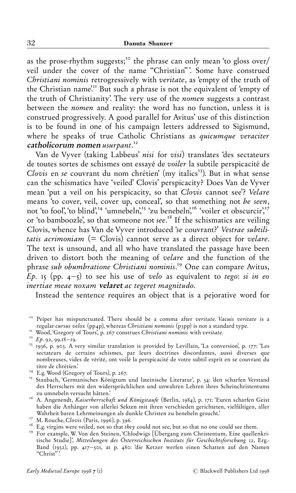as the prose-rhythm suggests;"ò the phrase can only mean `to gloss over/ veil under the cover of the name "Christian"'. Some have construed Christiani nominis retrogressively with veritate, as 'empty of the truth of the Christian name'."" But such a phrase is not the equivalent of `empty of the truth of Christianity'. The very use of the nomen suggests a contrast between the nomen and reality: the word has no function, unless it is construed progressively. A good parallel for Avitus' use of this distinction is to be found in one of his campaign letters addressed to Sigismund, where he speaks of true Catholic Christians as *quicumque veraciter*  $\mathsf{c}$ atholi $\mathsf{corum}$  nomen usurpant. $^{\mathsf{r}\mathsf{a}}$ 

Van de Vyver (taking Labbeus' nisi for visi) translates `des sectateurs de toutes sortes de schismes ont essayé de voiler la subtile perspicacité de Clovis en se couvrant du nom chrétien' (my italics<sup>13</sup>). But in what sense can the schismatics have `veiled' Clovis' perspicacity? Does Van de Vyver mean 'put a veil on his perspicacity, so that Clovis cannot see'? Velare means 'to cover, veil, cover up, conceal', so that something not be seen, not 'to fool', 'to blind',<sup>14</sup> 'umnebeln',<sup>15</sup> 'zu benebeln',<sup>16</sup> 'voiler et obscurcir',<sup>17</sup> or 'to bamboozle', so that someone not see.<sup>18</sup> If the schismatics are veiling Clovis, whence has Van de Vyver introduced `se couvrant?' Vestrae subtilitatis acrimoniam  $(=$  Clovis) cannot serve as a direct object for velare. The text is unsound, and all who have translated the passage have been driven to distort both the meaning of velare and the function of the phrase sub obumbratione Christiani nominis.<sup>19</sup> One can compare Avitus,  $\overline{E}p$ . is (pp. 4-s) to see his use of velo as equivalent to tego: si in eo inertiae meae noxam velaret ac tegeret magnitudo.

Instead the sentence requires an object that is a pejorative word for

- zu umnebern versucht hatten.<br><sup>16</sup> A. Angenendt, *Kaiserherrschaft und Königstaufe* (Berlin, 1984), p. 171: Euren scharfen Geist haben die Anhänger von allerlei Sekten mit ihren verschieden gerichteten, vielfältigen, aller<br>Wahrheit baren Lehrmeinungen als dunkle Christen zu benebeln gesucht.'
- 
- 
- <sup>17</sup> M. Rouche, *Clovis* (Paris, 1996), p. 396.<br><sup>18</sup> E.g. virgins were veiled, not so that *they* could not see, but so that no one could see them.<br><sup>19</sup> For example, W. Von den Steinen, 'Chlodwigs [Übergang zum Christentu tische Studie]', Mitteilungen des Österreichischen Instituts für Geschichtsforschung 12, Erg.-Band (1932), pp. 417-501, at p. 480: 'die Ketzer werfen einen Schatten auf den Namen ``Christ'' '.

<sup>&</sup>lt;sup>10</sup> Peiper has mispunctuated. There should be a comma after *veritate*. *Vacuis veritate* is a regular *cursus velox* (pp4p), whereas *Christiani nominis* (p3pp) is not a standard type.

Wood, Gregory of Tours', p. 267 construes Christiani nominis with veritate.<br>
<sup>12</sup> Ep. 92, 99.18–19.<br>
<sup>13</sup> 1936, p. 903. A very similar translation is provided by Levillain, 'La conversion', p. 177: 'Les sectateurs de certains schismes, par leurs doctrines discordantes, aussi diverses que nombreuses, vides de vérité, ont voilé la perspicacité de votre subtil esprit en se couvrant du titre de chrétien.'<br><sup>14</sup> E.g. Wood (Gregory of Tours), p. 267.<br><sup>15</sup> Staubach, 'Germanisches Königtum und lateinische Literatur', p. 34: ʿden scharfen Verstand

des Herrschers mit den widersprüchlichen und unwahren Lehren ihres Scheinchristentums zu umnebeln versucht hätten.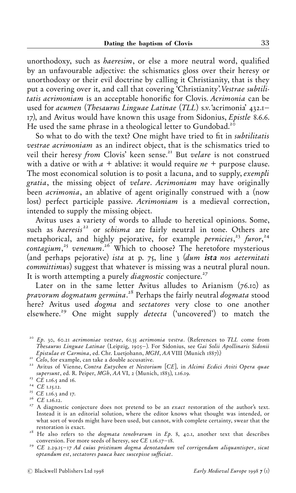unorthodoxy, such as *haeresim*, or else a more neutral word, qualified by an unfavourable adjective: the schismatics gloss over their heresy or unorthodoxy or their evil doctrine by calling it Christianity, that is they put a covering over it, and call that covering 'Christianity'. Vestrae subtilitatis acrimoniam is an acceptable honorific for Clovis. Acrimonia can be used for acumen (Thesaurus Linguae Latinae (TLL) s.v.  $\alpha$ crimonia'  $\alpha$ <sub>32.1</sub>-17), and Avitus would have known this usage from Sidonius, Epistle 8.6.6. He used the same phrase in a theological letter to Gundobad. $25$ 

So what to do with the text? One might have tried to fit in *subtilitatis* vestrae acrimoniam as an indirect object, that is the schismatics tried to veil their heresy from Clovis' keen sense.<sup>21</sup> But velare is not construed with a dative or with  $a +$  ablative: it would require  $ne +$  purpose clause. The most economical solution is to posit a lacuna, and to supply, exempli gratia, the missing object of velare. Acrimoniam may have originally been *acrimonia*, an ablative of agent originally construed with a (now lost) perfect participle passive. Acrimoniam is a medieval correction, intended to supply the missing object.

Avitus uses a variety of words to allude to heretical opinions. Some, such as *haeresis*<sup>22</sup> or *schisma* are fairly neutral in tone. Others are metaphorical, and highly pejorative, for example *pernicies*,<sup>23</sup> furor,<sup>24</sup> contagium,<sup>25</sup> venenum.<sup>26</sup> Which to choose? The heretofore mysterious (and perhaps pejorative) ista at p. 75, line  $\frac{1}{3}$  (dum ista nos aeternitation committimus) suggest that whatever is missing was a neutral plural noun. It is worth attempting a purely *diagnostic* conjecture.<sup>27</sup>

Later on in the same letter Avitus alludes to Arianism  $(76.10)$  as *pravorum dogmatum germina.* $^{28}$  Perhaps the fairly neutral  $d$ og*mata* stood here? Avitus used *dogma* and *sectatores* very close to one another elsewhere.<sup>29</sup> One might supply *detecta* ('uncovered') to match the

 $2^{\circ}$  Ep. 30, 60.21 acrimoniae vestrae, 61.35 acrimonia vestra. (References to TLL come from Thesaurus Linguae Latinae (Leipzig, 1905–). For Sidonius, see Gai Solii Apollinaris Sidonii<br>Epistulae et Carmina, ed. Chr. Luetiohann, MGH, AA VIII (Munich 1887).)

Epistulae et Carmina, ed. Chr. Luetjohann, Magheriae et Chr. Luetjohann, Magheriae et Chr. 2006.<br>
22 Avitus of Vienne, Contra Eutychen et Nestorium [CE], in Alcimi Ecdici Aviti Opera quae<br>
5 supersunt, ed. R. Peiper, MGh,

<sup>&</sup>lt;sup>23</sup> *CE* 1.16.5 and 16.<br><sup>24</sup> *CE* 1.15.12.<br><sup>25</sup> *CE* 1.16.3 and 17.<br><sup>26</sup> *CE* 1.16.12.<br><sup>27</sup> A diagnostic conjecture does not pretend to be an *exact* restoration of the author's text. Instead it is an editorial solution, where the editor knows what thought was intended, or what sort of words might have been used, but cannot, with complete certainty, swear that the

restoration is exact.<br><sup>28</sup> He also refers to the *dogmata tenebrarum* in Ep. 8, 40.1, another text that describes conversion. For more seeds of heresy, see CE 1.16.17–18.<br><sup>29</sup> CE 2.29.15–17 Ad cuius pristinum dogma denotandum vel corrigendum aliquantisper, sicut

optandum est, sectatores pauca haec suscepisse sufficiat.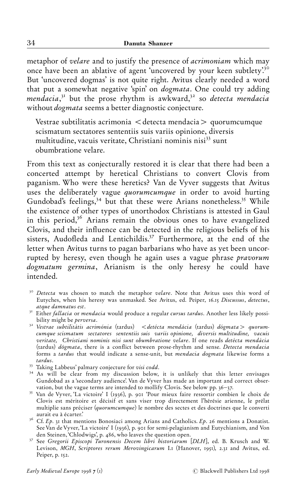metaphor of velare and to justify the presence of acrimoniam which may once have been an ablative of agent 'uncovered by your keen subtlety.<sup>30</sup> But `uncovered dogmas' is not quite right. Avitus clearly needed a word that put a somewhat negative 'spin' on *dogmata*. One could try adding mendacia,<sup>31</sup> but the prose rhythm is awkward,<sup>32</sup> so detecta mendacia without dogmata seems a better diagnostic conjecture.

Vestrae subtilitatis acrimonia  $\lt$  detecta mendacia  $>$  quorumcumque scismatum sectatores sententiis suis variis opinione, diversis multitudine, vacuis veritate, Christiani nominis nisi<sup>33</sup> sunt obumbratione velare.

From this text as conjecturally restored it is clear that there had been a concerted attempt by heretical Christians to convert Clovis from paganism. Who were these heretics? Van de Vyver suggests that Avitus uses the deliberately vague *quorumcumque* in order to avoid hurting Gundobad's feelings,<sup>34</sup> but that these were Arians nonetheless.<sup>35</sup> While the existence of other types of unorthodox Christians is attested in Gaul in this period,<sup>36</sup> Arians remain the obvious ones to have evangelized Clovis, and their influence can be detected in the religious beliefs of his sisters, Audofleda and Lentichildis.<sup>37</sup> Furthermore, at the end of the letter when Avitus turns to pagan barbarians who have as yet been uncorrupted by heresy, even though he again uses a vague phrase pravorum dogmatum germina, Arianism is the only heresy he could have intended.

- <sup>30</sup> Detecta was chosen to match the metaphor velare. Note that Avitus uses this word of Eutyches, when his heresy was unmasked. See Avitus, ed. Peiper, 16.15 Discussus, detectus,
- atque damnatus est.<br><sup>31</sup> Either *fallacia or mendacia* would produce a regular *cursus tardus.* Another less likely possi-
- bility might be *perversa*.<br><sup>32</sup> Vestrae subtilitátis acrimónia (tardus) < detécta mendácia (tardus) dógmata > quorumcumque scismatum sectatores sententiis suis variis opinione, diversis multitudine, vacuis veritate, Christiani nominis nisi sunt obumbratione velare. If one reads detécta mendácia (tardus) dógmata, there is a conflict between prose-rhythm and sense. Detecta mendacia forms a tardus that would indicate a sense-unit, but *mendacia dogmata* likewise forms a tardus.
- 
- <sup>33</sup> Taking Labbeus' palmary conjecture for *visi codd*.<br><sup>34</sup> As will be clear from my discussion below, it is unlikely that this letter envisages Gundobad as a 'secondary audience'. Van de Vyver has made an important and correct observation, but the vague terms are intended to mollify Clovis. See below pp.  $36-37$ .
- <sup>35</sup> Van de Vyver, 'La victoire' I (1936), p. 901 'Pour mieux faire ressortir combien le choix de Clovis est méritoire et décisif et sans viser trop directement l'hérésie arienne, le prélat multiplie sans préciser (quorumcumque) le nombre des sectes et des doctrines que le converti aurait eu à écarter.'
- <sup>36</sup> Cf. Ep. 31 that mentions Bonosiaci among Arians and Catholics. Ep. 26 mentions a Donatist. See Van de Vyver, 'La victoire' I (1936), p. 901 for semi-pelagianism and Eutychianism, and Von
- den Steinen, 'Chlodwigs', p. 486, who leaves the question open.<br><sup>37</sup> See *Gregorii Episcopi Turonensis Decem libri historiarum [DLH*], ed. B. Krusch and W. Levison, MGH, Scriptores rerum Merovingicarum I.1 (Hanover, 1951), 2.31 and Avitus, ed. Peiper, p. 152.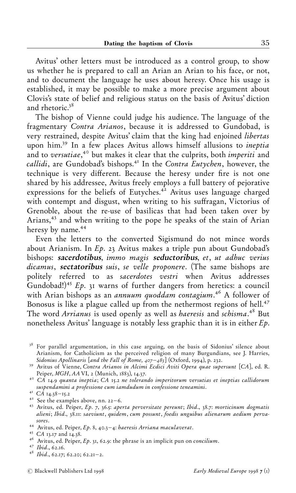Avitus' other letters must be introduced as a control group, to show us whether he is prepared to call an Arian an Arian to his face, or not, and to document the language he uses about heresy. Once his usage is established, it may be possible to make a more precise argument about Clovis's state of belief and religious status on the basis of Avitus' diction and rhetoric. $38$ 

The bishop of Vienne could judge his audience. The language of the fragmentary Contra Arianos, because it is addressed to Gundobad, is very restrained, despite Avitus' claim that the king had enjoined libertas upon him.<sup>39</sup> In a few places Avitus allows himself allusions to *ineptia* and to versutiae,<sup>4</sup> but makes it clear that the culprits, both *imperiti* and callidi, are Gundobad's bishops.<sup>41</sup> In the Contra Eutychen, however, the technique is very different. Because the heresy under fire is not one shared by his addressee, Avitus freely employs a full battery of pejorative expressions for the beliefs of Eutyches. $4^2$  Avitus uses language charged with contempt and disgust, when writing to his suffragan, Victorius of Grenoble, about the re-use of basilicas that had been taken over by Arians,<sup>43</sup> and when writing to the pope he speaks of the stain of Arian heresy by name.<sup>44</sup>

Even the letters to the converted Sigismund do not mince words about Arianism. In  $Ep.$  23 Avitus makes a triple pun about Gundobad's bishops: sacerdotibus, immo magis seductoribus, et, ut adhuc verius dicamus, sectatoribus suis, se velle proponere. (The same bishops are politely referred to as sacerdotes vestri when Avitus addresses Gundobad!)<sup>45</sup> Ep. 31 warns of further dangers from heretics: a council with Arian bishops as an *annuum quoddam contagium*.<sup>46</sup> A follower of Bonosus is like a plague called up from the nethermost regions of hell. $47$ The word Arrianus is used openly as well as haeresis and schisma.<sup>48</sup> But nonetheless Avitus' language is notably less graphic than it is in either  $Ep$ .

<sup>&</sup>lt;sup>38</sup> For parallel argumentation, in this case arguing, on the basis of Sidonius' silence about Arianism, for Catholicism as the perceived religion of many Burgundians, see J. Harries, Sidonius Apollinaris [and the Fall of Rome,  $407-48$ ] (Oxford, 1994), p. 232.

<sup>&</sup>lt;sup>39</sup> Avitus of Vienne, Contra Arianos in Alcimi Ecdici Aviti Opera quae supersunt [CA], ed. R.<br>Peiper, MGH, AA VI, 2 (Munich, 1883), 14.37.

 $\overline{P}^{\circ}$  CA 14.9 quanta ineptia; CA 15.2 ne tolerando imperitorum versutias et ineptias callidorum<br>suspendamini a professione cum iamdudum in confessione teneamini.

suspendamini a professione cum iamamum in confessione teneamini.  $\frac{a}{a}$ .<br>
<sup>41</sup> See the examples above, nn. 22–6.<br>
<sup>43</sup> Avitus, ed. Peiper, Ep. 7, 36.5: *aperta perversitate pereunt*; Ibid., 38.7: morticinum dogmatis alieni; Ibid., 38.11: saeviunt, quidem, cum possunt, foedis unguibus alienarum aedium pervasores.<br>
<sup>44</sup> Avitus, ed. Peiper, *Ep.* 8, 40.3–4: *baeresis Arriana maculaverat*.<br>
<sup>45</sup> CA 13.17 and 14.38.<br>
<sup>46</sup> Avitus, ed. Peiper, *Ep.* 31, 62.9: the phrase is an implicit pun on concilium.<br>
<sup>47</sup> Ibid., 62.16.<br>
<sup>48</sup> I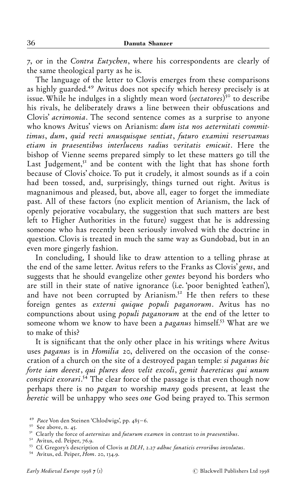æ, or in the Contra Eutychen, where his correspondents are clearly of the same theological party as he is.

The language of the letter to Clovis emerges from these comparisons as highly guarded.<sup>49</sup> Avitus does not specify which heresy precisely is at issue. While he indulges in a slightly mean word (sectatores)<sup>50</sup> to describe his rivals, he deliberately draws a line between their obfuscations and Clovis' acrimonia. The second sentence comes as a surprise to anyone who knows Avitus' views on Arianism: dum ista nos aeternitati committimus, dum, quid recti unusquisque sentiat, futuro examini reservamus etiam in praesentibus interlucens radius veritatis emicuit. Here the bishop of Vienne seems prepared simply to let these matters go till the Last Judgement, $<sup>51</sup>$  and be content with the light that has shone forth</sup> because of Clovis' choice. To put it crudely, it almost sounds as if a coin had been tossed, and, surprisingly, things turned out right. Avitus is magnanimous and pleased, but, above all, eager to forget the immediate past. All of these factors (no explicit mention of Arianism, the lack of openly pejorative vocabulary, the suggestion that such matters are best left to Higher Authorities in the future) suggest that he is addressing someone who has recently been seriously involved with the doctrine in question. Clovis is treated in much the same way as Gundobad, but in an even more gingerly fashion.

In concluding, I should like to draw attention to a telling phrase at the end of the same letter. Avitus refers to the Franks as Clovis' gens, and suggests that he should evangelize other gentes beyond his borders who are still in their state of native ignorance (i.e. `poor benighted 'eathen'), and have not been corrupted by Arianism.<sup>52</sup> He then refers to these foreign gentes as externi quique populi paganorum. Avitus has no compunctions about using populi paganorum at the end of the letter to someone whom we know to have been a *paganus* himself.<sup>53</sup> What are we to make of this?

It is significant that the only other place in his writings where Avitus uses paganus is in Homilia 20, delivered on the occasion of the consecration of a church on the site of a destroyed pagan temple: si paganus hic forte iam deeest, qui plures deos velit excoli, gemit haereticus qui unum conspicit exorari.<sup>54</sup> The clear force of the passage is that even though now perhaps there is no *pagan* to worship *many* gods present, at least the heretic will be unhappy who sees one God being prayed to. This sermon

<sup>&</sup>lt;sup>49</sup> *Pace* Von den Steinen 'Chlodwigs', pp. 485–6.<br><sup>50</sup> See above, n. 45.<br><sup>51</sup> Clearly the force of *aeternitas* and *futurum examen* in contrast to *in praesentibus*.<br><sup>52</sup> Avitus, ed. Peiper, 76.9.<br><sup>53</sup> Cf. Gregory's de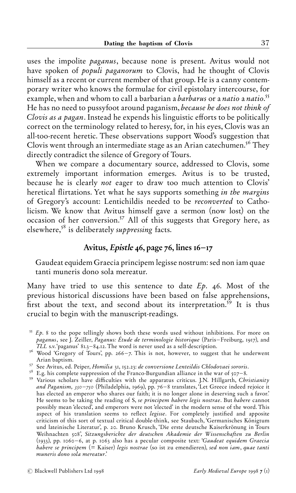uses the impolite paganus, because none is present. Avitus would not have spoken of *populi paganorum* to Clovis, had he thought of Clovis himself as a recent or current member of that group. He is a canny contemporary writer who knows the formulae for civil epistolary intercourse, for example, when and whom to call a barbarian a *barbarus* or a *natio* a *natio.<sup>55</sup>* He has no need to pussyfoot around paganism, because he does not think of Clovis as a pagan. Instead he expends his linguistic efforts to be politically correct on the terminology related to heresy, for, in his eyes, Clovis was an all-too-recent heretic. These observations support Wood's suggestion that Clovis went through an intermediate stage as an Arian catechumen.<sup>56</sup> They directly contradict the silence of Gregory of Tours.

When we compare a documentary source, addressed to Clovis, some extremely important information emerges. Avitus is to be trusted, because he is clearly not eager to draw too much attention to Clovis' heretical flirtations. Yet what he says supports something in the margins of Gregory's account: Lentichildis needed to be reconverted to Catholicism. We know that Avitus himself gave a sermon (now lost) on the occasion of her conversion.<sup>57</sup> All of this suggests that Gregory here, as elsewhere, $s^8$  is deliberately *suppressing* facts.

## Avitus, Epistle  $\mu$ 6, page 76, lines  $16$ -17

Gaudeat equidem Graecia principem legisse nostrum: sed non iam quae tanti muneris dono sola mereatur.

Many have tried to use this sentence to date  $Ep.$  46. Most of the previous historical discussions have been based on false apprehensions, first about the text, and second about its interpretation.<sup>59</sup> It is thus crucial to begin with the manuscript-readings.

- <sup>56</sup> Wood 'Gregory of Tours', pp. 266-7. This is not, however, to suggest that he underwent Arian baptism.
- <sup>57</sup> See Avitus, ed. Peiper, *Homilia* 31, 152.23: *de conversione Lenteildis Chlodovaei sororis*.<br><sup>58</sup> E.g. his complete suppression of the Franco-Burgundian alliance in the war of 507–8.<br><sup>59</sup> Various scholars have diffi
- 
- and Paganism,  $350 750$  (Philadelphia,  $1969$ ), pp. 76-8 translates, Let Greece indeed rejoice it has elected an emperor who shares our faith; it is no longer alone in deserving such a favor.' He seems to be taking the reading of S, se principem habere legis nostrae. But habere cannot possibly mean `elected', and emperors were not `elected' in the modern sense of the word. This aspect of his translation seems to reflect legisse. For completely justified and apposite criticism of this sort of textual critical double-think, see Staubach, 'Germanisches Königtum und lateinische Literatur', p. 20. Bruno Krusch, 'Die erste deutsche Kaiserkrönung in Tours Weihnachten 508', Sitzungsberichte der deutschen Akademie der Wissenschaften zu Berlin (1933), pp. 1060-6, at p. 1063 also has a pecular composite text: 'Gaudeat equidem Graecia habere se principem  $(=$  Kaiser) legis nostrae (so ist zu emendieren), sed non iam, quae tanti muneris dono sola mereatur.'

 $55$  Ep. 8 to the pope tellingly shows both these words used without inhibitions. For more on paganus, see J. Zeiller, Paganus: Étude de terminologie historique (Paris–Freiburg, 1917), and<br>TLL s.v.'paganus' 81.3–84.12. The word is never used as a self-description.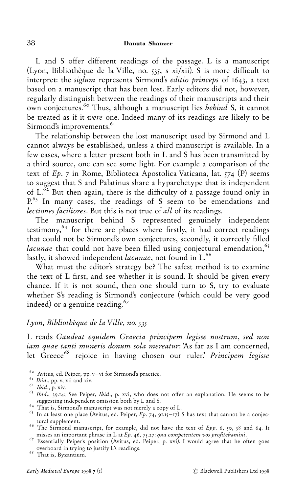L and S offer different readings of the passage. L is a manuscript (Lyon, Bibliothèque de la Ville, no.  $535$ , s xi/xii). S is more difficult to interpret: the *siglum* represents Sirmond's *editio princeps* of 1643, a text based on a manuscript that has been lost. Early editors did not, however, regularly distinguish between the readings of their manuscripts and their own conjectures.<sup>60</sup> Thus, although a manuscript lies behind S, it cannot be treated as if it were one. Indeed many of its readings are likely to be Sirmond's improvements.<sup>61</sup>

The relationship between the lost manuscript used by Sirmond and L cannot always be established, unless a third manuscript is available. In a few cases, where a letter present both in L and S has been transmitted by a third source, one can see some light. For example a comparison of the text of  $Ep.$  7 in Rome, Biblioteca Apostolica Vaticana, lat.  $\{74 \}$  (P) seems to suggest that S and Palatinus share a hyparchetype that is independent of  $L^{\delta_2}$  But then again, there is the difficulty of a passage found only in P.<sup>63</sup> In many cases, the readings of S seem to be emendations and lectiones faciliores. But this is not true of all of its readings.

The manuscript behind S represented genuinely independent testimony, $64$  for there are places where firstly, it had correct readings that could not be Sirmond's own conjectures, secondly, it correctly filled lacunae that could not have been filled using conjectural emendation,  $65$ lastly, it showed independent *lacunae*, not found in L.<sup>66</sup>

What must the editor's strategy be? The safest method is to examine the text of L first, and see whether it is sound. It should be given every chance. If it is not sound, then one should turn to S, try to evaluate whether S's reading is Sirmond's conjecture (which could be very good indeed) or a genuine reading. $67$ 

#### Lyon, Bibliothèque de la Ville, no. 535

L reads Gaudeat equidem Graecia principem legisse nostrum, sed non iam quae tanti muneris donum sola mereatur: `As far as I am concerned, let Greece<sup>68</sup> rejoice in having chosen our ruler.' Principem legisse

- 
- 

- 
- 
- tural supplement.<br><sup>66</sup> The Sirmond manuscript, for example, did not have the text of *Epp.* 6, 50, 58 and 64. It misses an important phrase in L at *Ep.* 46, 75.27: qua competentem vos profitebamini.
- <sup>67</sup> Essentially Peiper's position (Avitus, ed. Peiper, p. xvi). I would agree that he often goes overboard in trying to justify L's readings. åð That is, Byzantium.

<sup>&</sup>lt;sup>60</sup> Avitus, ed. Peiper, pp. v–vi for Sirmond's practice. <sup>61</sup> Ibid., pp. v, xii and xiv. <sup>62</sup> Ibid., p. xiv. <sup>63</sup> Ibid., 39.14; See Peiper, *Ibid.*, p. xvi, who does not offer an explanation. He seems to be  $\frac{63}{16}$ suggesting independent omission both by L and S.<br><sup>64</sup> That is, Sirmond's manuscript was not merely a copy of L.<br><sup>65</sup> In at least one place (Avitus, ed. Peiper, Ep. 74, 91.15–17) S has text that cannot be a conjec-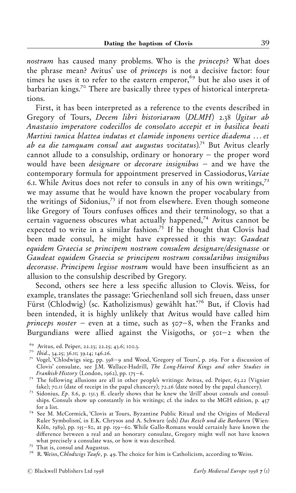nostrum has caused many problems. Who is the princeps? What does the phrase mean? Avitus' use of princeps is not a decisive factor: four times he uses it to refer to the eastern emperor,<sup>69</sup> but he also uses it of barbarian kings.<sup>70</sup> There are basically three types of historical interpretations.

First, it has been interpreted as a reference to the events described in Gregory of Tours, Decem libri historiarum (DLMH) 2.38 (Igitur ab Anastasio imperatore codecillos de consolato accepit et in basilica beati Martini tunica blattea indutus et clamide inponens vertice diadema ... et ab ea die tamquam consul aut augustus vocitatus).<sup>71</sup> But Avitus clearly cannot allude to a consulship, ordinary or honorary  $-$  the proper word would have been *designare* or *decorare insignibus*  $-$  and we have the contemporary formula for appointment preserved in Cassiodorus, Variae 6.1. While Avitus does not refer to consuls in any of his own writings,  $7<sup>2</sup>$ we may assume that he would have known the proper vocabulary from the writings of Sidonius,<sup>73</sup> if not from elsewhere. Even though someone like Gregory of Tours confuses offices and their terminology, so that a certain vagueness obscures what actually happened, $74$  Avitus cannot be expected to write in a similar fashion.<sup>75</sup> If he thought that Clovis had been made consul, he might have expressed it this way: Gaudeat equidem Graecia se principem nostrum consulem designare/designasse or Gaudeat equidem Graecia se principem nostrum consularibus insignibus decorasse. Principem legisse nostrum would have been insufficient as an allusion to the consulship described by Gregory.

Second, others see here a less specific allusion to Clovis. Weiss, for example, translates the passage: 'Griechenland soll sich freuen, dass unser Fürst (Chlodwig) (sc. Katholizismus) gewählt hat.<sup>76</sup> But, if Clovis had been intended, it is highly unlikely that Avitus would have called him princeps noster  $-$  even at a time, such as  $507-8$ , when the Franks and Burgundians were allied against the Visigoths, or  $\zeta$  or  $\zeta$  when the

- 
- 
- <sup>69</sup> Avitus, ed. Peiper, 22.23; 22.25; 43.6; 100.3.<br><sup>70</sup> Ibid., 34.25; 36.11; 39.14; 146.26.<br><sup>71</sup> Vogel, `Chlodwigs sieg, pp. 398–9 and Wood, `Gregory of Tours', p. 269. For a discussion of Clovis' consulate, see J.M. Wallace-Hadrill, *The Long-Haired Kings and other Studies in* Frankish History (London, 1962), pp. 175–6.
- <sup>72</sup> The following allusions are all in other people's writings: Avitus, ed. Peiper, 63.22 (Vignier fake); 70.11 (date of receipt in the papal chancery); 72.26 (date noted by the papal chancery).
- <sup>73</sup> Sidonius,  $Ep. 8.6$ , p. 131.3 ff. clearly shows that he knew the 'drill' about consuls and consulships. Consuls show up constantly in his writings; cf. the index to the MGH edition, p. 457 for a list.<br><sup>74</sup> See M. McCormick, `Clovis at Tours, Byzantine Public Ritual and the Origins of Medieval
- Ruler Symbolism', in E.K. Chrysos and A. Schwarz (eds) Das Reich und die Barbaren (Wien-Köln, 1989), pp. 155-80, at pp. 159-60. While Gallo-Romans would certainly have known the difference between a real and an honorary consulate, Gregory might well not have known
- 
- what precisely a consulate was, or how it was described.<br><sup>75</sup> That is, consul and Augustus.  $7^6$  R. Weiss, *Chlodwigs Taufe*, p. 49. The choice for him is Catholicism, according to Weiss.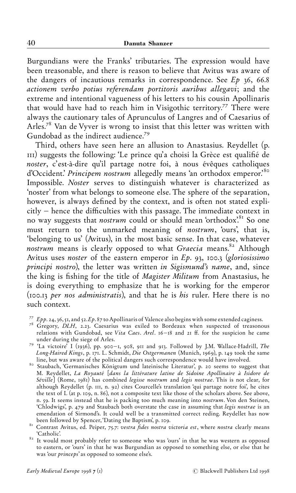Burgundians were the Franks' tributaries. The expression would have been treasonable, and there is reason to believe that Avitus was aware of the dangers of incautious remarks in correspondence. See  $Ep$  36, 66.8 actionem verbo potius referendam portitoris auribus allegavi; and the extreme and intentional vagueness of his letters to his cousin Apollinaris that would have had to reach him in Visigothic territory.<sup>77</sup> There were always the cautionary tales of Aprunculus of Langres and of Caesarius of Arles.<sup>78</sup> Van de Vyver is wrong to insist that this letter was written with Gundobad as the indirect audience.<sup>79</sup>

Third, others have seen here an allusion to Anastasius. Reydellet (p. III) suggests the following: 'Le prince qu'a choisi la Grèce est qualifié de noster, c'est-à-dire qu'il partage notre foi, à nous évêques catholiques d'Occident.' Principem nostrum allegedly means 'an orthodox emperor.'80 Impossible. Noster serves to distinguish whatever is characterized as `noster' from what belongs to someone else. The sphere of the separation, however, is always defined by the context, and is often not stated expli $city - hence the difficulties with this passage. The immediate context in$ no way suggests that *nostrum* could or should mean 'orthodox'.<sup>81</sup> So one must return to the unmarked meaning of nostrum, 'ours', that is, `belonging to us' (Avitus), in the most basic sense. In that case, whatever nostrum means is clearly opposed to what Graecia means.<sup>82</sup> Although Avitus uses noster of the eastern emperor in  $Ep.$  93, 100.3 (gloriosissimo principi nostro), the letter was written in Sigismund's name, and, since the king is fishing for the title of *Magister Militum* from Anastasius, he is doing everything to emphasize that he is working for the emperor  $(100.13$  per nos administratis), and that he is his ruler. Here there is no such context.

- 
- <sup>77</sup> Epp. 24, 36, 51, and 52. Ep. 87 to Apollinaris of Valence also begins with some extended caginess.<br><sup>78</sup> Gregory, *DLH*, 2.23. Caesarius was exiled to Bordeaux when suspected of treasonous relations with Gundobad, see Vita Caes. Arel.  $16 - 18$  and  $21$  ff. for the suspicion he came under during the siege of Arles.
- <sup>79</sup> 'La victoire' I (1936), pp. 900-1, 908, 911 and 913. Followed by J.M. Wallace-Hadrill, The Long-Haired Kings, p. 171. L. Schmidt, Die Ostgermanen (Munich, 1969), p. 149 took the same
- line, but was aware of the political dangers such correspondence would have involved.<br><sup>80</sup> Staubach, 'Germanisches Königtum und lateinische Literatur', p. 20 seems to suggest that M. Reydellet, La Royauté [dans la littérature latine de Sidoine Apollinaire à Isidore de Séville] (Rome, 1981) has combined legisse nostrum and legis nostrae. This is not clear, for although Reydellet (p. III, n. 92) cites Courcelle's translation 'qui partage notre foi', he cites the text of L (at p. 109, n. 86), not a composite text like those of the scholars above. See above, n. 59. It seems instead that he is packing too much meaning into nostrum. Von den Steinen, 'Chlodwigs', p. 479 and Staubach both overstate the case in assuming that legis nostrae is an emendation of Sirmond's. It could well be a transmitted correct reding. Reydellet has now
- been followed by Spencer,  $\frac{1}{n}$  and  $\frac{n}{n}$  followed by  $\frac{n}{n}$  followed by Spencer,  $\frac{n}{n}$  and  $\frac{n}{n}$   $\frac{n}{n}$   $\frac{n}{n}$   $\frac{n}{n}$   $\frac{n}{n}$   $\frac{n}{n}$   $\frac{n}{n}$   $\frac{n}{n}$   $\frac{n}{n}$   $\frac{n}{n}$   $\frac{n}{n}$   $\frac{n}{n}$   $\frac{n}{n}$
- $82$  It would most probably refer to someone who was 'ours' in that he was western as opposed to eastern, or 'ours' in that he was Burgundian as opposed to something else, or else that he was 'our *princeps*' as opposed to someone else's.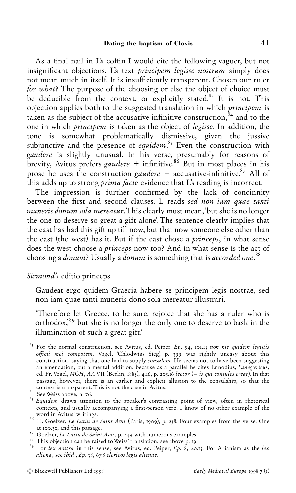As a final nail in L's coffin I would cite the following vaguer, but not insignificant objections. L's text *principem legisse nostrum* simply does not mean much in itself. It is insufficiently transparent. Chosen our ruler for what? The purpose of the choosing or else the object of choice must be deducible from the context, or explicitly stated.<sup>83</sup> It is not. This objection applies both to the suggested translation in which principem is taken as the subject of the accusative-infinitive construction, $\hat{\delta}^4$  and to the one in which principem is taken as the object of legisse. In addition, the tone is somewhat problematically dismissive, given the jussive subjunctive and the presence of *equidem*.<sup>85</sup> Even the construction with gaudere is slightly unusual. In his verse, presumably for reasons of brevity, Avitus prefers gaudere + infinitive. $8^{86}$  But in most places in his prose he uses the construction gaudere + accusative-infinitive.<sup>87</sup> All of this adds up to strong prima facie evidence that L's reading is incorrect.

The impression is further confirmed by the lack of concinnity between the first and second clauses. L reads sed non iam quae tanti muneris donum sola mereatur. This clearly must mean, 'but she is no longer the one to deserve so great a gift alone'. The sentence clearly implies that the east has had this gift up till now, but that now someone else other than the east (the west) has it. But if the east chose a princeps, in what sense does the west choose a princeps now too? And in what sense is the act of choosing a donum? Usually a donum is something that is accorded one.<sup>88</sup>

#### Sirmond's editio princeps

Gaudeat ergo quidem Graecia habere se principem legis nostrae, sed non iam quae tanti muneris dono sola mereatur illustrari.

`Therefore let Greece, to be sure, rejoice that she has a ruler who is orthodox,<sup>89</sup> but she is no longer the only one to deserve to bask in the illumination of such a great gift.'

 $83$  For the normal construction, see Avitus, ed. Peiper, Ep. 94, 101.15 non me quidem legistis officii mei compotem. Vogel, 'Chlodwigs Sieg', p. 399 was rightly uneasy about this construction, saying that one had to supply *consulem*. He seems not to have been suggesting an emendation, but a mental addition, because as a parallel he cites Ennodius, Panegyricus, ed. Fr. Vogel, MGH, AA VII (Berlin, 1885), 4.16, p. 205.16 lector (= is qui consules creat). In that passage, however, there is an earlier and explicit allusion to the consulship, so that the context is transparent. This is not the case in Avitus.  $^\mathrm{84}$  See Weiss above, n. 76.

- <sup>85</sup> Equidem draws attention to the speaker's contrasting point of view, often in rhetorical contexts, and usually accompanying a first-person verb. I know of no other example of the word in Avitus' writings.
- <sup>86</sup> H. Goelzer, *Le Latin de Saint Avit* (Paris, 1909), p. 238. Four examples from the verse. One at 100.30, and this passage.<br><sup>87</sup> Goelzer, *Le Latin de Saint Avit*, p. 249 with numerous examples.<br><sup>87</sup> Goelzer, *Le Latin de Saint Avit*, p. 249 with numerous examples.<br><sup>89</sup> For *lex nostra* in this sense, see Avitus, ed
- 
- 
- aliena, see ibid.,  $Ep.$  38, 67.8 clericos legis alienae.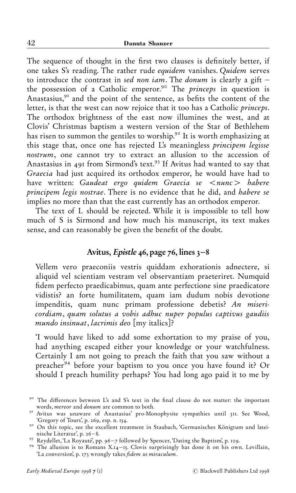The sequence of thought in the first two clauses is definitely better, if one takes S's reading. The rather rude equidem vanishes. Quidem serves to introduce the contrast in sed non iam. The donum is clearly a gift  $$ the possession of a Catholic emperor.<sup>90</sup> The *princeps* in question is Anastasius, $^{91}$  and the point of the sentence, as befits the content of the letter, is that the west can now rejoice that it too has a Catholic princeps. The orthodox brightness of the east now illumines the west, and at Clovis' Christmas baptism a western version of the Star of Bethlehem has risen to summon the gentiles to worship. $6<sup>2</sup>$  It is worth emphasizing at this stage that, once one has rejected L's meaningless principem legisse nostrum, one cannot try to extract an allusion to the accession of Anastasius in 491 from Sirmond's text.<sup>93</sup> If Avitus had wanted to say that Graecia had just acquired its orthodox emperor, he would have had to have written: Gaudeat ergo quidem Graecia se  $\langle$ nunc $\rangle$  habere principem legis nostrae. There is no evidence that he did, and habere se implies no more than that the east currently has an orthodox emperor.

The text of L should be rejected. While it is impossible to tell how much of S is Sirmond and how much his manuscript, its text makes sense, and can reasonably be given the benefit of the doubt.

## Avitus, Epistle 46, page 76, lines  $3-8$

Vellem vero praeconiis vestris quiddam exhorationis adnectere, si aliquid vel scientiam vestram vel observantiam praeteriret. Numquid fidem perfecto praedicabimus, quam ante perfectione sine praedicatore vidistis? an forte humilitatem, quam iam dudum nobis devotione impenditis, quam nunc primam professione debetis? An misericordiam, quam solutus a vobis adhuc nuper populus captivus gaudiis mundo insinuat, lacrimis deo [my italics]?

`I would have liked to add some exhortation to my praise of you, had anything escaped either your knowledge or your watchfulness. Certainly I am not going to preach the faith that you saw without a preacher<sup>94</sup> before your baptism to you once you have found it? Or should I preach humility perhaps? You had long ago paid it to me by

 $\frac{90}{100}$  The differences between L's and S's text in the final clause do not matter: the important words. *mereor* and *donum* are common to both.

where the mereor and donum are common to both and donum are common to both and do both and do a sumpathies until  $\frac{1}{3}$  . See Wood, 'Gregory of Tours', p. 269, esp. n. 154.

<sup>&</sup>lt;sup>92</sup> On this topic, see the excellent treatment in Staubach, 'Germanisches Königtum und lateinische Literatur', p. 26–8.

nische Literatur', p. áå ^ð. ñâ Reydellet, `La Royaute¨', pp. ñå ^ æ followed by Spencer, `Dating the Baptism', p. "òñ. ñã The allusion is to Romans X."ã^"ä. Clovis surprisingly has done it on his own. Levillain,

<sup>&#</sup>x27;La conversion', p. 173 wrongly takes *fidem* as *miraculum*.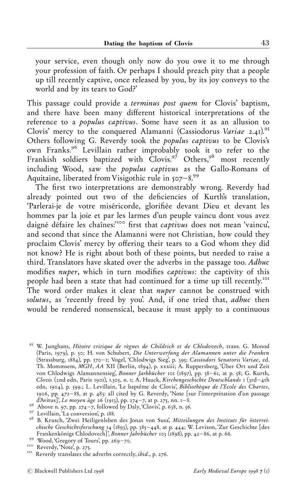your service, even though only now do you owe it to me through your profession of faith. Or perhaps I should preach pity that a people up till recently captive, once released by you, by its joy conveys to the world and by its tears to God?'

This passage could provide a terminus post quem for Clovis' baptism, and there have been many different historical interpretations of the reference to a populus captivus. Some have seen it as an allusion to Clovis' mercy to the conquered Alamanni (Cassiodorus Variae  $2.41$ ).<sup>95</sup> Others following G. Reverdy took the populus captivus to be Clovis's own Franks.<sup>96</sup> Levillain rather improbably took it to refer to the Frankish soldiers baptized with Clovis.<sup>97</sup> Others,<sup>98</sup> most recently including Wood, saw the populus captivus as the Gallo-Romans of Aquitaine, liberated from Visigothic rule in  $507-8.99$ 

The first two interpretations are demonstrably wrong. Reverdy had already pointed out two of the deficiencies of Kurth's translation, 'Parlerai-je de votre miséricorde, glorifiée devant Dieu et devant les hommes par la joie et par les larmes d'un peuple vaincu dont vous avez daigné défaire les chaînes:"<sup>100</sup> first that *captivus* does not mean 'vaincu', and second that since the Alamanni were not Christian, how could they proclaim Clovis' mercy by offering their tears to a God whom they did not know? He is right about both of these points, but needed to raise a third. Translators have skated over the adverbs in the passage too. Adhuc modifies *nuper*, which in turn modifies *captivus*: the captivity of this people had been a state that had continued for a time up till recently."ò" The word order makes it clear that *nuper* cannot be construed with solutus, as 'recently freed by you'. And, if one tried that, adhuc then would be rendered nonsensical, because it must apply to a continuous

<sup>&</sup>lt;sup>95</sup> W. Junghans, Hitoire critique de règnes de Childrich et de Chlodovech, trans. G. Monod (Paris, 1979), p. 50; H. von Schubert, Die Unterwerfung der Alamannen unter die Franken (Strassburg, 1884), pp. 170-1; Vogel, 'Chlodwigs Sieg', p. 395; Cassiodori Senatoris Variae, ed. Th. Mommsem, MGH, AA XII (Berlin, 1894), p. xxxiii; A. Ruppersberg, 'Über Ort und Zeit von Chlodwigs Alamannensieg', Bonner Jarhbücher 101 (1897), pp. 38-61, at p. 58; G. Kurth, Clovis (2nd edn, Paris 1901), 1.305, n. 1; A. Hauck, Kirchengeschichte Deutschlands 1 (3rd-4th edn, 1904), p. 599.; L. Levillain, 'Le baptême de Clovis', Bibliothèque de l'Ecole des Chartes, 1906, pp.  $472-88$ , at p.  $483$ : all cited by G. Reverdy, 'Note [sur l'interprétation d'un passage d'Avitus!, Le moyen âge 26 (1913), pp. 274–7, at p. 275, nn. 1–8.<br>
<sup>96</sup> Above n. 97, pp. 274–7, followed by Daly, Clovis', p. 638, n. 56.<br>
<sup>97</sup> Levillain, La conversion', p. 188.

<sup>&</sup>lt;sup>98</sup> B. Krusch, 'Zwei Heiligenleben des Jonas von Susa', *Mitteilungen des Instituts für österreichische Geschichtsforschung* 14 (1893), pp. 385–448, at p. 444; W. Levison, 'Zur Geschichte [des Frankenkönigs Chlodovech]', Bonner Jahrbücher 103 (1898), pp. 42–86, at p. 66.<br><sup>99</sup> Wood, 'Gregory of Tours', pp. 269–70.<br><sup>100</sup> Reverdy, 'Note', p. 275.<br><sup>101</sup> Reverdy translates the adverbs correctly, *ibid.*, p. 276.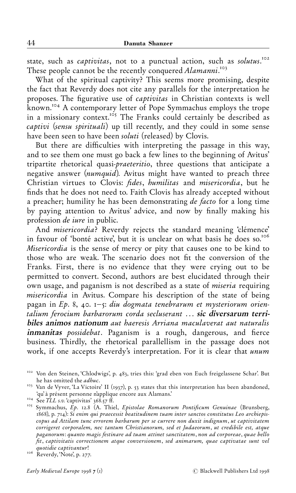state, such as *captivitas*, not to a punctual action, such as solutus.<sup>102</sup> These people cannot be the recently conquered Alamanni.<sup>103</sup>

What of the spiritual captivity? This seems more promising, despite the fact that Reverdy does not cite any parallels for the interpretation he proposes. The figurative use of *captivitas* in Christian contexts is well known.<sup>104</sup> A contemporary letter of Pope Symmachus employs the trope in a missionary context.<sup>105</sup> The Franks could certainly be described as captivi (sensu spirituali) up till recently, and they could in some sense have been seen to have been *soluti* (released) by Clovis.

But there are difficulties with interpreting the passage in this way, and to see them one must go back a few lines to the beginning of Avitus' tripartite rhetorical quasi-praeteritio, three questions that anticipate a negative answer (numquid). Avitus might have wanted to preach three Christian virtues to Clovis: *fides*, *humilitas* and *misericordia*, but he finds that he does not need to. Faith Clovis has already accepted without a preacher; humility he has been demonstrating *de facto* for a long time by paying attention to Avitus' advice, and now by finally making his profession de iure in public.

And *misericordia*? Reverdy rejects the standard meaning 'clémence' in favour of 'bonté active', but it is unclear on what basis he does so. $106$ Misericordia is the sense of mercy or pity that causes one to be kind to those who are weak. The scenario does not fit the conversion of the Franks. First, there is no evidence that they were crying out to be permitted to convert. Second, authors are best elucidated through their own usage, and paganism is not described as a state of miseria requiring misericordia in Avitus. Compare his description of the state of being pagan in  $Ep. 8$ , 40.  $i - 5$ : diu dogmata tenebrarum et mysteriorum orientalium ferocium barbarorum corda secluserant ... sic diversarum terribiles animos nationum aut haeresis Arriana maculaverat aut naturalis inmanitas possidebat. Paganism is a rough, dangerous, and fierce business. Thirdly, the rhetorical parallellism in the passage does not work, if one accepts Reverdy's interpretation. For it is clear that unum

<sup>&</sup>lt;sup>102</sup> Von den Steinen, 'Chlodwigs', p. 483, tries this: 'grad eben von Euch freigelassene Schar'. But

he has omitted the *adhuc*.<br>"<sup>103</sup> Van de Vyver, `La Victoire' II (1937), p. 53 states that this interpretation has been abandoned, `qu' à présent personne n'applique encore aux Alamans.'

<sup>&</sup>lt;sup>t</sup>qu' à présent personne n'applique encore aux Alamans.'<br><sup>104</sup> See *TLL s.v.* `captivitas' 368.57 ff.<br><sup>105</sup> Symmachus, *Ep.* 12.8 (A. Thiel, *Epistolae Romanorum Pontificum Genuinae* (Brunsberg, 1868), p. 714): Si enim qui praecessit beatitudinem tuam inter sanctos constitutus Leo archiepiscopus ad Attilam tunc errorem barbarum per se currere non duxit indignum, ut captivitatem corrigeret corporalem, nec tantum Christianorum, sed et Judaeorum, ut credibile est, atque paganorum: quanto magis festinare ad tuam attinet sanctitatem, non ad corporeae, quae bello ¢t, captivitatis correctionem atque conversionem, sed animarum, quae captivatae sunt vel

quotidie captivantur!<br><sup>106</sup> Reverdy, 'Note', p. 277.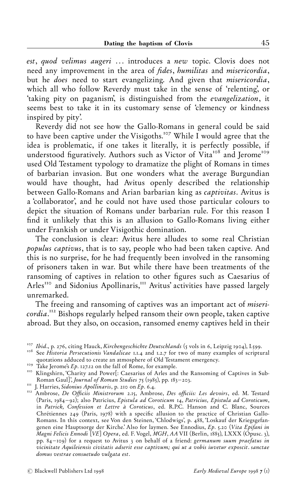est, quod velimus augeri ... introduces a new topic. Clovis does not need any improvement in the area of *fides*, *humilitas* and *misericordia*, but he does need to start evangelizing. And given that misericordia, which all who follow Reverdy must take in the sense of 'relenting', or `taking pity on paganism', is distinguished from the evangelization, it seems best to take it in its customary sense of `clemency or kindness inspired by pity'.

Reverdy did not see how the Gallo-Romans in general could be said to have been captive under the Visigoths.<sup>107</sup> While I would agree that the idea is problematic, if one takes it literally, it is perfectly possible, if understood figuratively. Authors such as Victor of Vita<sup>108</sup> and Jerome<sup>109</sup> used Old Testament typology to dramatize the plight of Romans in times of barbarian invasion. But one wonders what the average Burgundian would have thought, had Avitus openly described the relationship between Gallo-Romans and Arian barbarian king as captivitas. Avitus is a `collaborator', and he could not have used those particular colours to depict the situation of Romans under barbarian rule. For this reason I find it unlikely that this is an allusion to Gallo-Romans living either under Frankish or under Visigothic domination.

The conclusion is clear: Avitus here alludes to some real Christian populus captivus, that is to say, people who had been taken captive. And this is no surprise, for he had frequently been involved in the ransoming of prisoners taken in war. But while there have been treatments of the ransoming of captives in relation to other figures such as Caesarius of Arles<sup>110</sup> and Sidonius Apollinaris,<sup>111</sup> Avitus' activities have passed largely unremarked.

The freeing and ransoming of captives was an important act of misericordia.<sup>112</sup> Bishops regularly helped ransom their own people, taken captive abroad. But they also, on occasion, ransomed enemy captives held in their

<sup>&</sup>lt;sup>107</sup> Ibid., p. 276, citing Hauck, *Kirchengeschichte Deutschlands* (5 vols in 6, Leipzig 1904), I.599.<br><sup>108</sup> See *Historia Persecutionis Vandalicae* 1.1.4 and 1.2.7 for two of many examples of scriptural

quotations adduced to create an atmosphere of Old Testament emergency.<br><sup>109</sup> Take Jerome's *Ep*. 127.12 on the fall of Rome, for example.<br><sup>110</sup> Klingshirn, 'Charity and Power[: Caesarius of Arles and the Ransoming of Capti

m J. Harries, Sidonius Apollinaris, p. 210 on Ep. 6.4. "<br>"<sup>12</sup> Ambrose, *De Officiis Ministrorum 2.15*, Ambrose, *Des officiis: Les devoirs*, ed. M. Testard (Paris,  $1984-92$ ); also Patricius, Epistula ad Coroticum 14, Patricius, Epistula ad Coroticum, in Patrick, Confession et Lettre à Coroticus, ed. R.P.C. Hanson and C. Blanc, Sources Chrétiennes 249 (Paris, 1978) with a specific allusion to the practice of Christian Gallo-Romans. In this context, see Von den Steinen, 'Chlodwigs', p. 488, 'Loskauf der Kriegsgefangenen eine Hauptsorge der Kirche.' Also for laymen. See Ennodius, Ep. 5.20 (Vita Epifani in Magni Felicis Ennodi [VE] Opera, ed. F. Vogel, MGH, AA VII (Berlin, "ððä), LXXX (Opusc. â), pp.  $84 - 109$ ) for a request to Avitus 3 on behalf of a friend: germanum suum praefatus in vicinitate Aquileiensis civitatis adserit esse captivum; qui ut a vobis iuvetur exposcit. sanctae domus vestrae consuetudo vulgata est.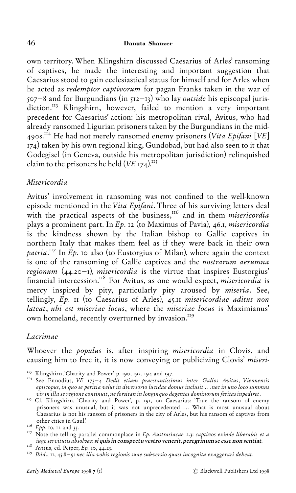own territory. When Klingshirn discussed Caesarius of Arles' ransoming of captives, he made the interesting and important suggestion that Caesarius stood to gain ecclesiastical status for himself and for Arles when he acted as redemptor captivorum for pagan Franks taken in the war of  $507-8$  and for Burgundians (in  $512-13$ ) who lay *outside* his episcopal jurisdiction.<sup>113</sup> Klingshirn, however, failed to mention a very important precedent for Caesarius' action: his metropolitan rival, Avitus, who had already ransomed Ligurian prisoners taken by the Burgundians in the mid-4905.<sup> $\overline{114}$ </sup> He had not merely ransomed enemy prisoners (Vita Epifani [VE]  $\sigma$ <sub>174</sub>) taken by his own regional king, Gundobad, but had also seen to it that Godegisel (in Geneva, outside his metropolitan jurisdiction) relinquished claim to the prisoners he held  $(VE_{I74})$ .<sup>115</sup>

#### Misericordia

Avitus' involvement in ransoming was not confined to the well-known episode mentioned in the Vita Epifani. Three of his surviving letters deal with the practical aspects of the business, $16$  and in them *misericordia* plays a prominent part. In  $Ep$ . 12 (to Maximus of Pavia), 46.1, *misericordia* is the kindness shown by the Italian bishop to Gallic captives in northern Italy that makes them feel as if they were back in their own patria.<sup>117</sup> In Ep. 10 also (to Eustorgius of Milan), where again the context is one of the ransoming of Gallic captives and the nostrarum aerumna regionum  $(44.20 - I)$ , misericordia is the virtue that inspires Eustorgius' financial intercession.<sup>118</sup> For Avitus, as one would expect, *misericordia* is mercy inspired by pity, particularly pity aroused by miseria. See, tellingly,  $E_p$ . II (to Caesarius of Arles),  $45.11$  misericordiae aditus non lateat, ubi est miseriae locus, where the miseriae locus is Maximianus' own homeland, recently overturned by invasion.<sup>119</sup>

## Lacrimae

Whoever the populus is, after inspiring misericordia in Clovis, and causing him to free it, it is now conveying or publicizing Clovis' miseri-

<sup>&</sup>lt;sup>113</sup> Klingshirn, `Charity and Power'. p. 190, 192, 194 and 197.<br><sup>114</sup> See Ennodius, *VE 173–4 Dedit etiam praestantissimus inter Gallos Avitus, Viennensis* episcopus, in quo se peritia velut in diversorio lucidae domus inclusit . . . nec in uno loco summus<br>vir in illa se regione continuit, ne forsitan in longinquo degentes dominorum feritas inpediret.

vir in illa se regione continuit, ne forsitan in longinquo degentes dominorum feritas inpediret.<br><sup>115</sup> Cf. Klingshirn, `Charity and Power', p. 191, on Caesarius: `True the ransom of enemy prisoners was unusual, but it was not unprecedented ... What is most unusual about Caesarius is not his ransom of prisoners in the city of Arles, but his ransom of captives from

<sup>&</sup>lt;sup>116</sup> Epp. 10, 12 and 35.<br><sup>116</sup> Epp. 10, 12 and 35.<br><sup>117</sup> Note the telling parallel commonplace in Ep. Austrasiacae 2.3: captivos exinde liberabis et a iugo servitutis absolvas: si quis in conspectu vestro venerit, peregrinum se esse non sentiat. ""ð Avitus, ed. Peiper, Ep. "ò, ãã.áä. ""ñ Ibid., "", ãä.ð^ñ: nec illa vobis regionis suae subversio quasi incognita exaggerari debeat.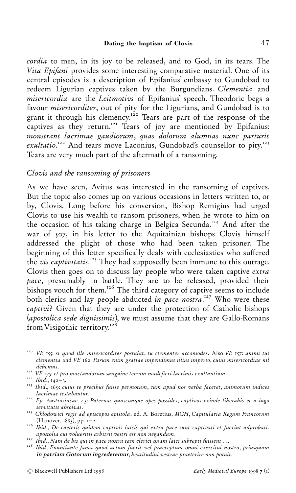cordia to men, in its joy to be released, and to God, in its tears. The Vita Epifani provides some interesting comparative material. One of its central episodes is a description of Epifanius' embassy to Gundobad to redeem Ligurian captives taken by the Burgundians. Clementia and misericordia are the Leitmotivs of Epifanius' speech. Theodoric begs a favour misericorditer, out of pity for the Ligurians, and Gundobad is to grant it through his clemency.<sup>120</sup> Tears are part of the response of the captives as they return.<sup>121</sup> Tears of joy are mentioned by Epifanius: monstrant lacrimae gaudiorum, quas dolorum alumnas nunc parturit exultatio.<sup>122</sup> And tears move Laconius, Gundobad's counsellor to pity.<sup>123</sup> Tears are very much part of the aftermath of a ransoming.

## Clovis and the ransoming of prisoners

As we have seen, Avitus was interested in the ransoming of captives. But the topic also comes up on various occasions in letters written to, or by, Clovis. Long before his conversion, Bishop Remigius had urged Clovis to use his wealth to ransom prisoners, when he wrote to him on the occasion of his taking charge in Belgica Secunda.<sup>124</sup> And after the war of 507, in his letter to the Aquitainian bishops Clovis himself addressed the plight of those who had been taken prisoner. The beginning of this letter specifically deals with ecclesiastics who suffered the vis captivitatis.<sup>125</sup> They had supposedly been immune to this outrage. Clovis then goes on to discuss lay people who were taken captive extra pace, presumably in battle. They are to be released, provided their bishops vouch for them.<sup>126</sup> The third category of captive seems to include both clerics and lay people abducted in pace nostra.<sup>127</sup> Who were these captivi? Given that they are under the protection of Catholic bishops (apostolica sede dignissimis), we must assume that they are Gallo-Romans from Visigothic territory.<sup>128</sup>

- $\frac{124}{2}$  Ep. Austrasiacae 2.3: Paternas quascunque opes possides, captivos exinde liberabis et a iugo servitutis absolvas.
- <sup>125</sup> Chlodowici regis ad episcopos epistola, ed. A. Boretius, MGH, Capitularia Regum Francorum (Hanover, 1883), pp. 1–2.
- (Hanover, wor, "pr. ").<br>(Hid., De caeteris quidem captivis laicis qui extra pace sunt captivati et fuerint adprobati,<br>(apostolia cui volueritis arbitrii vestri est non negandum.
- 

 $120$  VE 155: si quod ille misericorditer postulat, tu clementer accomodes. Also VE 157: animi tui clementia and VE 162: Parum enim gratiae impendimus illius imperio, cuius misericordiae nil<br>debemus.

<sup>&</sup>lt;sup>121</sup> VE 175: et pro mactandorum sanguine terram madefieri lacrimis exultantium.<br><sup>122</sup> Ibid., 142–3.<br><sup>123</sup> Ibid., 169: cuius te precibus fuisse permotum, cum apud nos verba faceret, animorum indices<br>lacrimae testabantur.

<sup>127</sup> Ibid., Nam de his qui in pace nostra tam clerici quam laici subrepti fuissent …<br><sup>128</sup> Ibid., Nam de his qui in pace nostra tam clerici quam laici subrepti fuissent …<br><sup>128</sup> Ibid, Enuntiante fama quod actum fuerit vel pr in patriam Gotorum ingrederemur, beatitudini vestrae praeterire non potuit.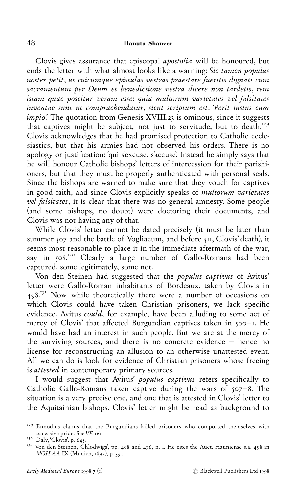Clovis gives assurance that episcopal apostolia will be honoured, but ends the letter with what almost looks like a warning: Sic tamen populus noster petit, ut cuicumque epistulas vestras praestare fueritis dignati cum sacramentum per Deum et benedictione vestra dicere non tardetis, rem istam quae poscitur veram esse: quia multorum varietates vel falsitates inventae sunt ut compraehendatur, sicut scriptum est: `Perit iustus cum impio.' The quotation from Genesis XVIII.23 is ominous, since it suggests that captives might be subject, not just to servitude, but to death.<sup>129</sup> Clovis acknowledges that he had promised protection to Catholic ecclesiastics, but that his armies had not observed his orders. There is no apology or justification: 'qui s'excuse, s'accuse'. Instead he simply says that he will honour Catholic bishops' letters of intercession for their parishioners, but that they must be properly authenticated with personal seals. Since the bishops are warned to make sure that they vouch for captives in good faith, and since Clovis explicitly speaks of multorum varietates vel falsitates, it is clear that there was no general amnesty. Some people (and some bishops, no doubt) were doctoring their documents, and Clovis was not having any of that.

While Clovis' letter cannot be dated precisely (it must be later than summer 507 and the battle of Vogliacum, and before 511, Clovis' death), it seems most reasonable to place it in the immediate aftermath of the war, say in 508.<sup>130</sup> Clearly a large number of Gallo-Romans had been captured, some legitimately, some not.

Von den Steinen had suggested that the populus captivus of Avitus' letter were Gallo-Roman inhabitants of Bordeaux, taken by Clovis in 498.<sup>131</sup> Now while theoretically there were a number of occasions on which Clovis could have taken Christian prisoners, we lack specific evidence. Avitus could, for example, have been alluding to some act of mercy of Clovis' that affected Burgundian captives taken in  $\infty$ -I. He would have had an interest in such people. But we are at the mercy of the surviving sources, and there is no concrete evidence - hence no license for reconstructing an allusion to an otherwise unattested event. All we can do is look for evidence of Christian prisoners whose freeing is attested in contemporary primary sources.

I would suggest that Avitus' populus captivus refers specifically to Catholic Gallo-Romans taken captive during the wars of  $507-8$ . The situation is a very precise one, and one that is attested in Clovis' letter to the Aquitainian bishops. Clovis' letter might be read as background to

<sup>&</sup>lt;sup>129</sup> Ennodius claims that the Burgundians killed prisoners who comported themselves with excessive pride. See *VE* 161.

<sup>&</sup>lt;sup>130</sup> Daly, `Clovis', p. 645.<br><sup>131</sup> Von den Steinen, `Chlodwigs', pp. 498 and 476, n. 1. He cites the Auct. Hauniense s.a. 498 in  $MGH AA$  IX (Munich,  $1892$ ), p. 331.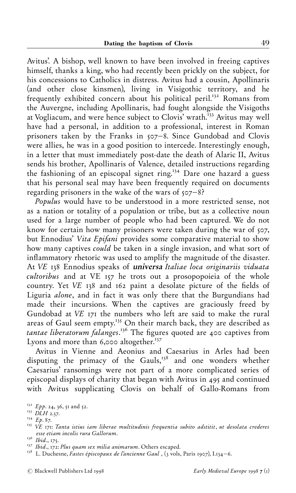Avitus'. A bishop, well known to have been involved in freeing captives himself, thanks a king, who had recently been prickly on the subject, for his concessions to Catholics in distress. Avitus had a cousin, Apollinaris (and other close kinsmen), living in Visigothic territory, and he frequently exhibited concern about his political peril.<sup>132</sup> Romans from the Auvergne, including Apollinaris, had fought alongside the Visigoths at Vogliacum, and were hence subject to Clovis' wrath.<sup>133</sup> Avitus may well have had a personal, in addition to a professional, interest in Roman prisoners taken by the Franks in  $507-8$ . Since Gundobad and Clovis were allies, he was in a good position to intercede. Interestingly enough, in a letter that must immediately post-date the death of Alaric II, Avitus sends his brother, Apollinaris of Valence, detailed instructions regarding the fashioning of an episcopal signet ring.<sup>134</sup> Dare one hazard a guess that his personal seal may have been frequently required on documents regarding prisoners in the wake of the wars of  $\{07-8\}$ ?

Populus would have to be understood in a more restricted sense, not as a nation or totality of a population or tribe, but as a collective noun used for a large number of people who had been captured. We do not know for certain how many prisoners were taken during the war of  $\varphi$ , but Ennodius' Vita Epifani provides some comparative material to show how many captives could be taken in a single invasion, and what sort of inflammatory rhetoric was used to amplify the magnitude of the disaster. At VE 138 Ennodius speaks of *universa Italiae loca originariis viduata*  $\alpha$ *cultoribus* and at VE  $_{157}$  he trots out a prosopopoieia of the whole country. Yet VE 138 and 162 paint a desolate picture of the fields of Liguria alone, and in fact it was only there that the Burgundians had made their incursions. When the captives are graciously freed by Gundobad at  $VE$  171 the numbers who left are said to make the rural areas of Gaul seem empty.<sup>135</sup> On their march back, they are described as tantae liberatorum falanges.<sup>136</sup> The figures quoted are 400 captives from Lyons and more than  $6,000$  altogether.<sup>137</sup>

Avitus in Vienne and Aeonius and Caesarius in Arles had been disputing the primacy of the Gauls,<sup>138</sup> and one wonders whether Caesarius' ransomings were not part of a more complicated series of episcopal displays of charity that began with Avitus in 495 and continued with Avitus supplicating Clovis on behalf of Gallo-Romans from

<sup>&</sup>lt;sup>132</sup> Epp. 24, 36, 51 and 52.<br><sup>133</sup> DLH 2.37.<br><sup>134</sup> Ep. 87.<br><sup>135</sup> VE 171: Tanta istius iam liberae multitudinis frequentia subito adstitit, ut desolata crederes esse etiam incolis rura Gallorum.<br><sup>136</sup> Ibid., 175.<br><sup>137</sup> Ibid., 172: Plus quam sex milia animarum. Others escaped.<br><sup>138</sup> L. Duchesne, Fastes épiscopaux de l'ancienne Gaul , (3 vols, Paris 1907), I.134–6.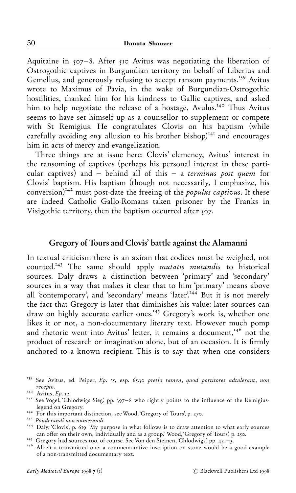Aquitaine in  $507-8$ . After  $510$  Avitus was negotiating the liberation of Ostrogothic captives in Burgundian territory on behalf of Liberius and Gemellus, and generously refusing to accept ransom payments.<sup>139</sup> Avitus wrote to Maximus of Pavia, in the wake of Burgundian-Ostrogothic hostilities, thanked him for his kindness to Gallic captives, and asked him to help negotiate the release of a hostage, Avulus.<sup>140</sup> Thus Avitus seems to have set himself up as a counsellor to supplement or compete with St Remigius. He congratulates Clovis on his baptism (while carefully avoiding *any* allusion to his brother bishop)<sup>141</sup> and encourages him in acts of mercy and evangelization.

Three things are at issue here: Clovis' clemency, Avitus' interest in the ransoming of captives (perhaps his personal interest in these particular captives) and  $-$  behind all of this  $-$  a terminus post quem for Clovis' baptism. His baptism (though not necessarily, I emphasize, his  $conversion$ <sup>142</sup> must post-date the freeing of the *populus captivus*. If these are indeed Catholic Gallo-Romans taken prisoner by the Franks in Visigothic territory, then the baptism occurred after 507.

#### Gregory of Tours and Clovis' battle against the Alamanni

In textual criticism there is an axiom that codices must be weighed, not counted.<sup>143</sup> The same should apply *mutatis mutandis* to historical sources. Daly draws a distinction between 'primary' and 'secondary' sources in a way that makes it clear that to him `primary' means above all 'contemporary', and 'secondary' means 'later'.<sup>144</sup> But it is not merely the fact that Gregory is later that diminishes his value: later sources can draw on highly accurate earlier ones.<sup>145</sup> Gregory's work is, whether one likes it or not, a non-documentary literary text. However much pomp and rhetoric went into Avitus' letter, it remains a document,<sup>146</sup> not the product of research or imagination alone, but of an occasion. It is firmly anchored to a known recipient. This is to say that when one considers

<sup>&</sup>lt;sup>139</sup> See Avitus, ed. Peiper, *Ep.* 35, esp. 65.30 pretio tamen, quod portitores adtulerant, non recepto.<br><sup>140</sup> Avitus, *Ep.* 12.

<sup>&</sup>lt;sup>141</sup> See Vogel, 'Chlodwigs Sieg', pp. 397-8 who rightly points to the influence of the Remigius-

<sup>&</sup>lt;sup>142</sup> For this important distinction, see Wood, `Gregory of Tours', p. 270.<br><sup>143</sup> Ponderandi non numerandi. "<sup>44</sup> Daly, `Clovis', p. 619 <sup>°</sup>My purpose in what follows is to draw attention to what early sources can offer o

<sup>&</sup>lt;sup>145</sup> Gregory had sources too, of course. See Von den Steinen, Chlodwigs', pp. 421-3.<br><sup>146</sup> Albeit a transmitted one: a commemorative inscription on stone would be a good example of a non-transmitted documentary text.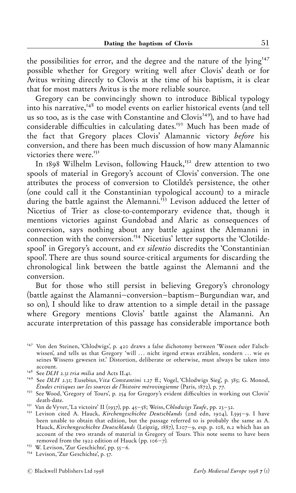the possibilities for error, and the degree and the nature of the lying<sup>147</sup> possible whether for Gregory writing well after Clovis' death or for Avitus writing directly to Clovis at the time of his baptism, it is clear that for most matters Avitus is the more reliable source.

Gregory can be convincingly shown to introduce Biblical typology into his narrative,  $148$  to model events on earlier historical events (and tell us so too, as is the case with Constantine and Clovis<sup>149</sup>), and to have had considerable difficulties in calculating dates.<sup>150</sup> Much has been made of the fact that Gregory places Clovis' Alamannic victory before his conversion, and there has been much discussion of how many Alamannic victories there were.<sup>151</sup>

In 1898 Wilhelm Levison, following Hauck,<sup>152</sup> drew attention to two spools of material in Gregory's account of Clovis' conversion. The one attributes the process of conversion to Clotilde's persistence, the other (one could call it the Constantinian typological account) to a miracle during the battle against the Alemanni.<sup>153</sup> Levison adduced the letter of Nicetius of Trier as close-to-contemporary evidence that, though it mentions victories against Gundobad and Alaric as consequences of conversion, says nothing about any battle against the Alemanni in connection with the conversion.<sup>154</sup> Nicetius' letter supports the 'Clotildespool' in Gregory's account, and ex silentio discredits the 'Constantinian spool'. There are thus sound source-critical arguments for discarding the chronological link between the battle against the Alemanni and the conversion.

But for those who still persist in believing Gregory's chronology (battle against the Alamanni-conversion-baptism-Burgundian war, and so on), I should like to draw attention to a simple detail in the passage where Gregory mentions Clovis' battle against the Alamanni. An accurate interpretation of this passage has considerable importance both

<sup>&</sup>lt;sup>147</sup> Von den Steinen, 'Chlodwigs', p. 420 draws a false dichotomy between 'Wissen oder Falschwissen', and tells us that Gregory 'will ... nicht irgend etwas erzählen, sondern ... wie es seines Wissens gewesen ist.' Distortion, deliberate or otherwise, must always be taken into

account. "account."<br><sup>148</sup> See DLH 2.31 tri*a milia* and Acts II.41.<br><sup>149</sup> See DLH 2.31; Eusebius, Vita Constantini 1.27 ff.; Vogel, 'Chlodwigs Sieg', p. 385; G. Monod,<br>*Études critiques sur les sources de l'histoire mérovi* 

<sup>&</sup>lt;sup>150</sup> See Wood, 'Gregory of Tours', p. 254 for Gregory's evident difficulties in working out Clovis' death-date.

<sup>&</sup>lt;sup>151</sup> Van de Vyver, <sup>'</sup>La victoire' II (1937), pp. 45–58; Weiss, Chlodwigs Taufe, pp. 23–32. <sup>152</sup> Levison cited A. Hauck, *Kirchengeschichte Deutschlands* (2nd edn, 1904), I.595–9. I have been unable to obtain that edition, but the passage referred to is probably the same as A. Hauck, Kirchengeschichte Deutschlands (Leipzig, 1887), I.107-9, esp. p. 108, n.2 which has an account of the two strands of material in Gregory of Tours. This note seems to have been removed from the 1922 edition of Hauck (pp. 106–7). " $^{153}$  W. Levison, 'Zur Geschichte', p. 57. " $^{154}$  Levison, 'Zur Geschichte', p. 57.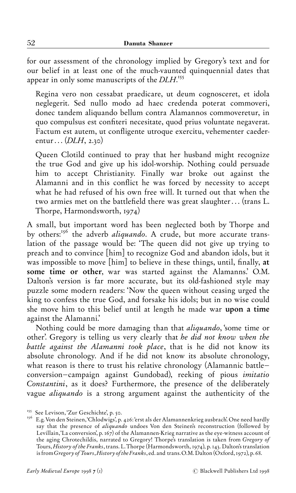for our assessment of the chronology implied by Gregory's text and for our belief in at least one of the much-vaunted quinquennial dates that appear in only some manuscripts of the  $D LH$ .

Regina vero non cessabat praedicare, ut deum cognosceret, et idola neglegerit. Sed nullo modo ad haec credenda poterat commoveri, donec tandem aliquando bellum contra Alamannos commoveretur, in quo compulsus est confiteri necesitate, quod prius voluntate negaverat. Factum est autem, ut confligente utroque exercitu, vehementer caederentur  $\ldots$  (DLH, 2.30)

Queen Clotild continued to pray that her husband might recognize the true God and give up his idol-worship. Nothing could persuade him to accept Christianity. Finally war broke out against the Alamanni and in this conflict he was forced by necessity to accept what he had refused of his own free will. It turned out that when the two armies met on the battlefield there was great slaughter... (trans L. Thorpe, Harmondsworth,  $1974)$ 

A small, but important word has been neglected both by Thorpe and by others:<sup>156</sup> the adverb *aliquando*. A crude, but more accurate translation of the passage would be: 'The queen did not give up trying to preach and to convince [him] to recognize God and abandon idols, but it was impossible to move  $[\text{him}]$  to believe in these things, until, finally, at some time or other, war was started against the Alamanns.' O.M. Dalton's version is far more accurate, but its old-fashioned style may puzzle some modern readers: `Now the queen without ceasing urged the king to confess the true God, and forsake his idols; but in no wise could she move him to this belief until at length he made war upon a time against the Alamanni.'

Nothing could be more damaging than that aliquando, `some time or other'. Gregory is telling us very clearly that he did not know when the battle against the Alamanni took place, that is he did not know its absolute chronology. And if he did not know its absolute chronology, what reason is there to trust his relative chronology (Alamannic battleconversion-campaign against Gundobad), reeking of pious *imitatio* Constantini, as it does? Furthermore, the presence of the deliberately vague aliquando is a strong argument against the authenticity of the

<sup>&</sup>lt;sup>155</sup> See Levison, 'Zur Geschichte', p. 50.<br><sup>156</sup> E.g. Von den Steinen, 'Chlodwigs', p. 426: 'erst als der Alamannenkrieg ausbrach'. One need hardly say that the presence of *aliquando* undoes Von den Steinen's reconstruction (followed by Levillain, 'La conversion', p.  $167$ ) of the Alamannen-Krieg narrative as the eye-witness account of the aging Chrotechildis, narrated to Gregory! Thorpe's translation is taken from Gregory of Tours, History of the Franks, trans. L. Thorpe (Harmondsworth, 1974), p. 143. Dalton's translation is from Gregory of Tours, History of the Franks, ed. and trans. O.M. Dalton (Oxford, 1972), p. 68.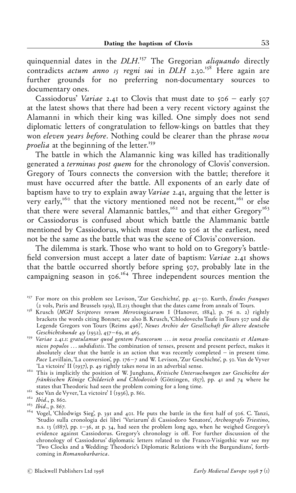quinquennial dates in the DLH.<sup>157</sup> The Gregorian *aliquando* directly contradicts actum anno  $\overline{15}$  regni sui in DLH 2.30.<sup>158</sup> Here again are further grounds for no preferring non-documentary sources to documentary ones.

Cassiodorus' Variae 2.41 to Clovis that must date to  $506 -$  early  $507$ at the latest shows that there had been a very recent victory against the Alamanni in which their king was killed. One simply does not send diplomatic letters of congratulation to fellow-kings on battles that they won eleven years before. Nothing could be clearer than the phrase nova *proelia* at the beginning of the letter.<sup>159</sup>

The battle in which the Alamannic king was killed has traditionally generated a terminus post quem for the chronology of Clovis' conversion. Gregory of Tours connects the conversion with the battle; therefore it must have occurred after the battle. All exponents of an early date of baptism have to try to explain away *Variae* 2.41, arguing that the letter is very early,<sup>160</sup> that the victory mentioned need not be recent,<sup>161</sup> or else that there were several Alamannic battles,<sup>162</sup> and that either Gregory<sup>163</sup> or Cassiodorus is confused about which battle the Alammanic battle mentioned by Cassiodorus, which must date to 506 at the earliest, need not be the same as the battle that was the scene of Clovis' conversion.

The dilemma is stark. Those who want to hold on to Gregory's battle field conversion must accept a later date of baptism: Variae 2.41 shows that the battle occurred shortly before spring  $\{0,0\}$ , probably late in the campaigning season in  $506$ .<sup>164</sup> Three independent sources mention the

<sup>&</sup>lt;sup>157</sup> For more on this problem see Levison, 'Zur Geschichte', pp. 45-50. Kurth, Études franques (a vols, Paris and Brussels 1919), II.213 thought that the dates came from annals of Tours.<br><sup>158</sup> Krusch (MGH Scriptores rerum Merovingicarum I (Hanover, 1884), p. 76 n. *a*) rightly

brackets the words citing Bonnet; see also B. Krusch, Chlodovechs Taufe in Tours 507 und die Legende Gregors von Tours (Reims 496)', Neues Archiv der Gesellschaft für ältere deutsche<br>Geschichtskunde 49 (1932), 457–69, at 465.

Geschichtentiente añ, at anañ, an ar ar ar ar ar an ar ar an ar an ar an variante et Alamannicos populos ... subdidistis. The combination of tenses, present and present perfect, makes it absolutely clear that the battle is an action that was recently completed  $-\hat{i}$ n present time. *Pace Levillain,* 'La conversion', pp. 176–7 and W. Levison, 'Zur Geschichte', p. 50. Van de Vyver 'La victoire' II (1937), p. 49 rightly takes *nova* in an adverbial sense.

<sup>&</sup>lt;sup>160</sup> This is implicitly the position of W. Junghans, Kritische Untersuchungen zur Geschichte der fränkischen Könige Childerich und Chlodovich (Göttingen,  $1857$ ), pp. 41 and 74 where he states that Theodoric had seen the problem coming for a long time.

<sup>&</sup>lt;sup>161</sup> See Van de Vyver, 'La victoire' I (1936), p. 861.<br><sup>162</sup> Ibid., p. 860.<br><sup>163</sup> Ibid., p. 867.<br><sup>164</sup> Vogel, 'Chlodwigs Sieg', p. 391 and 401. He puts the battle in the first half of 506. C. Tanzi, `Studio sulla cronologia dei libri `Variarum' di Cassiodoro Senatore', Archeografo Triestino, n.s. 13 (1887), pp.  $1 - 36$ , at p. 34, had seen the problem long ago, when he weighed Gregory's evidence against Cassiodorus. Gregory's chronology is off. For further discussion of the chronology of Cassiodorus' diplomatic letters related to the Franco-Visigothic war see my `Two Clocks and a Wedding: Theodoric's Diplomatic Relations with the Burgundians', forthcoming in Romanobarbarica.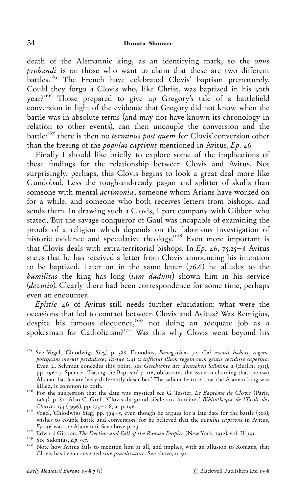death of the Alemannic king, as an identifying mark, so the onus probandi is on those who want to claim that these are two different battles.<sup>165</sup> The French have celebrated Clovis' baptism prematurely. Could they forgo a Clovis who, like Christ, was baptized in his 30th year?<sup>166</sup> Those prepared to give up Gregory's tale of a battlefield conversion in light of the evidence that Gregory did not know when the battle was in absolute terms (and may not have known its chronology in relation to other events), can then uncouple the conversion and the battle:<sup> $167$ </sup> there is then no *terminus post quem* for Clovis' conversion other than the freeing of the *populus captivus* mentioned in Avitus,  $Ep.$  46.

Finally I should like briefly to explore some of the implications of these findings for the relationship between Clovis and Avitus. Not surprisingly, perhaps, this Clovis begins to look a great deal more like Gundobad. Less the rough-and-ready pagan and splitter of skulls than someone with mental acrimonia, someone whom Arians have worked on for a while, and someone who both receives letters from bishops, and sends them. In drawing such a Clovis, I part company with Gibbon who stated, 'But the savage conqueror of Gaul was incapable of examining the proofs of a religion which depends on the laborious investigation of historic evidence and speculative theology.<sup>168</sup> Even more important is that Clovis deals with extra-territorial bishops. In  $Ep.$  46, 75.25–8 Avitus states that he has received a letter from Clovis announcing his intention to be baptized. Later on in the same letter  $(76.6)$  he alludes to the humilitas the king has long (iam dudum) shown him in his service (devotio). Clearly there had been correspondence for some time, perhaps even an encounter.

Epistle ãå of Avitus still needs further elucidation: what were the occasions that led to contact between Clovis and Avitus? Was Remigius, despite his famous eloquence,<sup>169</sup> not doing an adequate job as a spokesman for Catholicism?<sup>170</sup> Was this why Clovis went beyond his

<sup>&</sup>lt;sup>165</sup> See Vogel, 'Chlodwigs Sieg', p. 388. Ennodius, Panegyricus 72: Cui evenit habere regem, postquam meruit perdidisse; Variae 2.41 2: sufficiat illum regem cum gentis cecidisse superbia. Even L. Schmidt concedes this point, see Geschichte der deutschen Stämme 2 (Berlin, 1915), pp. 296-7. Spencer, 'Dating the Baptism', p. 116, obfuscates the issue in claiming that the two Alaman battles are 'very differently described'. The salient feature, that the Alaman king was

killed, is common to both. "<br>
<sup>166</sup> For the suggestion that the date was mystical see G. Tessier, *Le Baptême de Clovis* (Paris, 1964), p. 82. Also C. Grell, `Clovis du grand siècle aux lumières', Bibliothèque de l'École des<br>Chartes 154 (1996), pp. 173–218, at p. 196.

*Chartes 154 (1996), pp. 173–218, at p. 196.*<br><sup>167</sup> Vogel, `Chlodwigs Sieg', pp. 394–5, even though he argues for a late date for the battle (506), wishes to couple battle and conversion, for he believed that the *populus captivus* in Avitus, *Ep.* 46 was the Alamanni. See above p. 43.<br><sup>168</sup> Edward Gibbon, *The Decline and Fall of the Roman Empire* (New York, 1932), vol. II. 391.<br><sup>169</sup> See Sidonius, *Ep.* 9.7.<br><sup>170</sup> Note how Avitus fails to mention him at all,

Clovis has been converted *sine praedicatore*. See above, n. 94.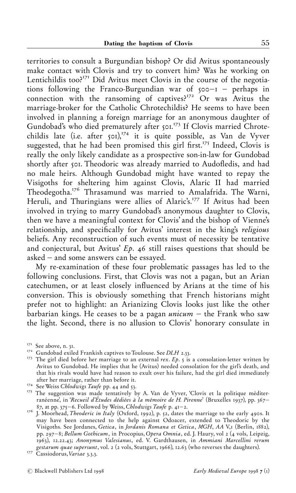territories to consult a Burgundian bishop? Or did Avitus spontaneously make contact with Clovis and try to convert him? Was he working on Lentichildis too?<sup>171</sup> Did Avitus meet Clovis in the course of the negotiations following the Franco-Burgundian war of  $\zeta$ 00-1 - perhaps in connection with the ransoming of captives? $172$  Or was Avitus the marriage-broker for the Catholic Chrotechildis? He seems to have been involved in planning a foreign marriage for an anonymous daughter of Gundobad's who died prematurely after 501.<sup>173</sup> If Clovis married Chrotechildis late (i.e. after  $\int_0^{\frac{1}{7}}$  it is quite possible, as Van de Vyver suggested, that he had been promised this girl first.<sup>175</sup> Indeed, Clovis is really the only likely candidate as a prospective son-in-law for Gundobad shortly after 501. Theodoric was already married to Audofledis, and had no male heirs. Although Gundobad might have wanted to repay the Visigoths for sheltering him against Clovis, Alaric II had married Theodegotha.<sup>176</sup> Thrasamund was married to Amalafrida. The Warni, Heruli, and Thuringians were allies of Alaric's.<sup>177</sup> If Avitus had been involved in trying to marry Gundobad's anonymous daughter to Clovis, then we have a meaningful context for Clovis' and the bishop of Vienne's relationship, and specifically for Avitus' interest in the king's religious beliefs. Any reconstruction of such events must of necessity be tentative and conjectural, but Avitus'  $Ep.$  46 still raises questions that should be asked  $-$  and some answers can be essayed.

My re-examination of these four problematic passages has led to the following conclusions. First, that Clovis was not a pagan, but an Arian catechumen, or at least closely influenced by Arians at the time of his conversion. This is obviously something that French historians might prefer not to highlight: an Arianizing Clovis looks just like the other barbarian kings. He ceases to be a pagan *unicum*  $-$  the Frank who saw the light. Second, there is no allusion to Clovis' honorary consulate in

<sup>&</sup>lt;sup>171</sup> See above, n. 31.<br><sup>172</sup> Gundobad exiled Frankish captives to Toulouse. See *DLH* 2.33.<br><sup>173</sup> The girl died before her marriage to an external *rex. Ep.*  $\zeta$  is a consolation-letter written by Avitus to Gundobad. He implies that he (Avitus) needed consolation for the girl's death, and that his rivals would have had reason to exult over his failure, had the girl died immediately

after her marriage, rather marriage, rather than before it. "<br><sup>175</sup> The suggestion was made tentatively by A. Van de Vyver, `Clovis et la politique méditerranéenne', in 'Recueil d'Études dédiées à la mémoire de H. Pirenne' (Bruxelles 1937), pp. 367–87, at pp. 375–6. Followed by Weiss, Chlodwigs Taufe p. 41–2.

 $\frac{6}{76}$  J. Moorhead, Theoderic in Italy (Oxford, 1992), p. 32, dates the marriage to the early 490s. It may have been connected to the help against Odoacer, extended to Theodoric by the Visigoths. See Jordanes, Getica, in Jordanis Romana et Getica, MGH, AA V,I (Berlin, 1882), pp. 297-8; Bellum Gothicum, in Procopius, Opera Omnia, ed. J. Haury, vol 2 (4 vols, Leipzig, 1963), 12.22.43; Anonymus Valesianus, ed. V. Gardthausen, in Ammiani Marcellini rerum gestarum quae supersunt, vol. 2 (2 vols, Stuttgart, 1966), 12.63 (who reverses the daughters). "Cassiodorus, Variae 3.3.3.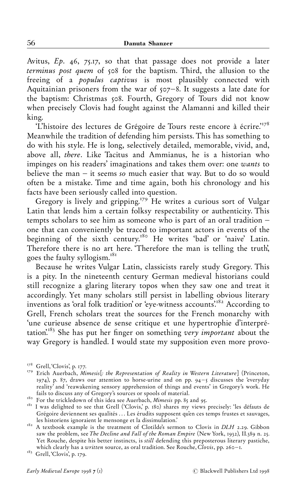Avitus,  $Ep.$  46, 75.17, so that that passage does not provide a later terminus post quem of 508 for the baptism. Third, the allusion to the freeing of a populus captivus is most plausibly connected with Aquitainian prisoners from the war of  $\zeta$ <sup> $\zeta$ </sup> $\zeta$ <sup>2</sup>. It suggests a late date for the baptism: Christmas 508. Fourth, Gregory of Tours did not know when precisely Clovis had fought against the Alamanni and killed their king.

'L'histoire des lectures de Grégoire de Tours reste encore à écrire.'<sup>178</sup> Meanwhile the tradition of defending him persists. This has something to do with his style. He is long, selectively detailed, memorable, vivid, and, above all, there. Like Tacitus and Ammianus, he is a historian who impinges on his readers' imaginations and takes them over: one wants to believe the man  $-$  it seems so much easier that way. But to do so would often be a mistake. Time and time again, both his chronology and his facts have been seriously called into question.

Gregory is lively and gripping.<sup>179</sup> He writes a curious sort of Vulgar Latin that lends him a certain folksy respectability or authenticity. This tempts scholars to see him as someone who is part of an oral tradition  $$ one that can conveniently be traced to important actors in events of the beginning of the sixth century.<sup>180</sup> He writes 'bad' or 'naive' Latin. Therefore there is no art here. Therefore the man is telling the truth', goes the faulty syllogism."ð"

Because he writes Vulgar Latin, classicists rarely study Gregory. This is a pity. In the nineteenth century German medieval historians could still recognize a glaring literary topos when they saw one and treat it accordingly. Yet many scholars still persist in labelling obvious literary inventions as 'oral folk tradition' or 'eye-witness accounts'.<sup>182</sup> According to Grell, French scholars treat the sources for the French monarchy with 'une curieuse absence de sense critique et une hypertrophie d'interprétation.<sup>183</sup> She has put her finger on something very *important* about the way Gregory is handled. I would state my supposition even more provo-

<sup>&</sup>lt;sup>178</sup> Grell, Clovis', p. 177.<br><sup>179</sup> Erich Auerbach, *Mimesis[: the Representation of Reality in Western Literature*] (Princeton, 1974), p. 87, draws our attention to horse-urine and on pp. 94-5 discusses the 'everyday reality<sup>3</sup> and 'reawakening sensory apprehension of things and events' in Gregory's work. He fails to discuss any of Gregory's sources or spools of material.

<sup>&</sup>lt;sup>180</sup> For the trickledown of this idea see Auerbach, *Mimesis* pp. 85 and 95.<br><sup>181</sup> I was delighted to see that Grell ('Clovis,' p. 180) shares my views precisely: 'les défauts de Grégoire deviennent ses qualités ... Les érudits supposent qu'en ces temps frustes et sauvages,<br>les historiens ignoraient le mensonge et la dissimulation.'

<sup>&</sup>lt;sup>182</sup> A textbook example is the treatment of Clotilde's sermon to Clovis in *DLH* 2.29. Gibbon saw the problem, see The Decline and Fall of the Roman Empire (New York, 1932),  $\tilde{H}$ .  $\tilde{3}$ 9 n. 25. Yet Rouche, despite his better instincts, is still defending this preposterous literary pastiche, which clearly has a *written* source, as oral tradition. See Rouche, Clovis, pp. 260-1. "<sup>83</sup> Grell, 'Clovis', p. 179.